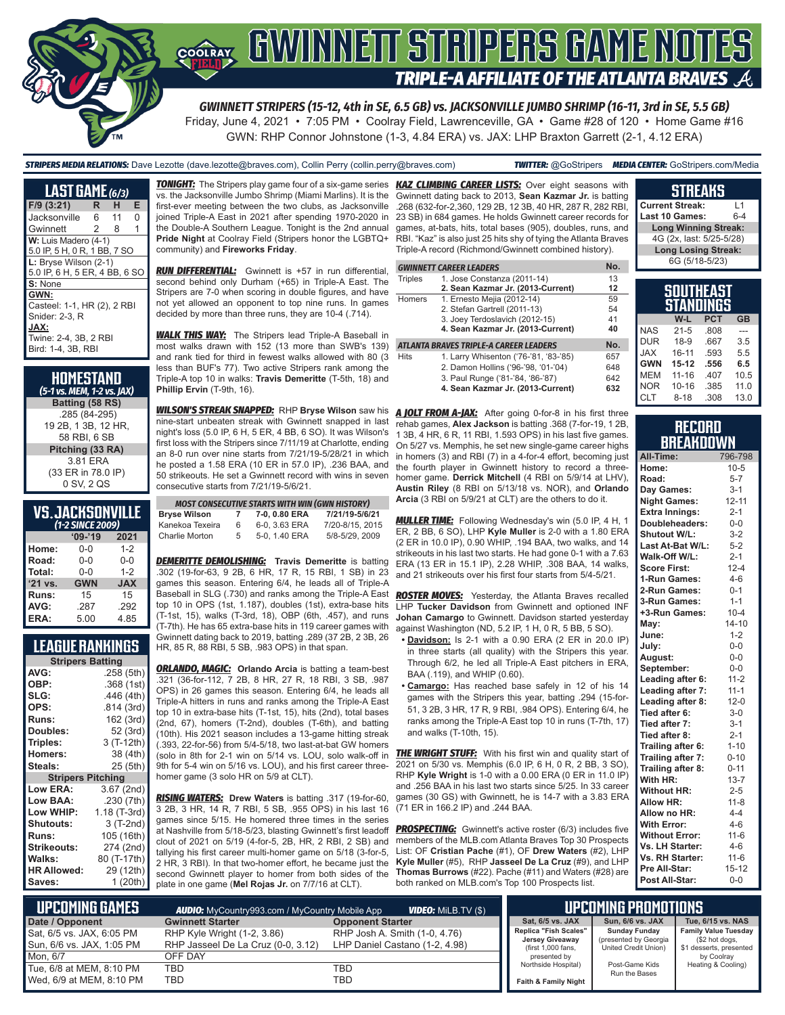

Friday, June 4, 2021 • 7:05 PM • Coolray Field, Lawrenceville, GA • Game #28 of 120 • Home Game #16

GWN: RHP Connor Johnstone (1-3, 4.84 ERA) vs. JAX: LHP Braxton Garrett (2-1, 4.12 ERA)

| LAST GAME (6/3)                                                                                              |                |     |          |  |
|--------------------------------------------------------------------------------------------------------------|----------------|-----|----------|--|
| $F/9$ (3:21)                                                                                                 | R              | н   | Е        |  |
| Jacksonville                                                                                                 | 6              | -11 | $\Omega$ |  |
| Gwinnett                                                                                                     | $\overline{2}$ | 8   | 1        |  |
| W: Luis Madero (4-1)                                                                                         |                |     |          |  |
| 5.0 IP, 5 H, 0 R, 1 BB, 7 SO<br>L: Bryse Wilson (2-1)<br>5.0 IP, 6 H, 5 ER, 4 BB, 6 SO                       |                |     |          |  |
| S: None                                                                                                      |                |     |          |  |
| GWN:<br>Casteel: 1-1, HR (2), 2 RBI<br>Snider: 2-3. R<br>JAX:<br>Twine: 2-4, 3B, 2 RBI<br>Bird: 1-4, 3B, RBI |                |     |          |  |

| <b>HOMESTAND</b><br>(5-1 vs. MEM, 1-2 vs. JAX) |
|------------------------------------------------|
| Batting (58 RS)                                |
| .285 (84-295)                                  |
| 19 2B, 1 3B, 12 HR,                            |
| 58 RBI, 6 SB                                   |
| Pitching (33 RA)                               |
| 3.81 ERA                                       |
| (33 ER in 78.0 IP)                             |
| 0 SV, 2 QS                                     |

### **VS. JACKSONVILLE**

| (1-2 SINCE 2009) |            |            |  |  |
|------------------|------------|------------|--|--|
|                  | $09 - 19$  | 2021       |  |  |
| Home:            | $0 - 0$    | $1 - 2$    |  |  |
| Road:            | $0 - 0$    | $0 - 0$    |  |  |
| Total:           | $0 - 0$    | $1 - 2$    |  |  |
| '21 vs.          | <b>GWN</b> | <b>JAX</b> |  |  |
| Runs:            | 15         | 15         |  |  |
| AVG:             | .287       | .292       |  |  |
| ERA:             | 5.00       | 4.85       |  |  |

### **LEAGUE RANKINGS**

| <b>Stripers Batting</b>  |              |
|--------------------------|--------------|
| AVG:                     | .258 (5th)   |
| OBP:                     | .368 (1st)   |
| SLG:                     | .446 (4th)   |
| OPS:                     | .814 (3rd)   |
| <b>Runs:</b>             | 162 (3rd)    |
| <b>Doubles:</b>          | 52 (3rd)     |
| Triples:                 | 3 (T-12th)   |
| <b>Homers:</b>           | 38 (4th)     |
| Steals:                  | 25 (5th)     |
| <b>Stripers Pitching</b> |              |
| <b>Low ERA:</b>          | 3.67 (2nd)   |
| Low BAA:                 | .230 (7th)   |
| Low WHIP:                | 1.18 (T-3rd) |
| Shutouts:                | 3 (T-2nd)    |
| <b>Runs:</b>             | 105 (16th)   |
| <b>Strikeouts:</b>       | 274 (2nd)    |
| Walks:                   | 80 (T-17th)  |
| <b>HR Allowed:</b>       | 29 (12th)    |
| Saves:                   | 1 (20th)     |

*TONIGHT:* The Stripers play game four of a six-game series *KAZ CLIMBING CAREER LISTS:* Over eight seasons with vs. the Jacksonville Jumbo Shrimp (Miami Marlins). It is the first-ever meeting between the two clubs, as Jacksonville joined Triple-A East in 2021 after spending 1970-2020 in the Double-A Southern League. Tonight is the 2nd annual **Pride Night** at Coolray Field (Stripers honor the LGBTQ+ community) and **Fireworks Friday**.

*RUN DIFFERENTIAL:* Gwinnett is +57 in run differential, second behind only Durham (+65) in Triple-A East. The Stripers are 7-0 when scoring in double figures, and have not yet allowed an opponent to top nine runs. In games decided by more than three runs, they are 10-4 (.714).

*WALK THIS WAY:* The Stripers lead Triple-A Baseball in most walks drawn with 152 (13 more than SWB's 139) and rank tied for third in fewest walks allowed with 80 (3 less than BUF's 77). Two active Stripers rank among the Triple-A top 10 in walks: **Travis Demeritte** (T-5th, 18) and **Phillip Ervin** (T-9th, 16).

*WILSON'S STREAK SNAPPED:* RHP **Bryse Wilson** saw his *A JOLT FROM A-JAX:* After going 0-for-8 in his first three nine-start unbeaten streak with Gwinnett snapped in last night's loss (5.0 IP, 6 H, 5 ER, 4 BB, 6 SO). It was Wilson's first loss with the Stripers since 7/11/19 at Charlotte, ending an 8-0 run over nine starts from 7/21/19-5/28/21 in which he posted a 1.58 ERA (10 ER in 57.0 IP), .236 BAA, and 50 strikeouts. He set a Gwinnett record with wins in seven consecutive starts from 7/21/19-5/6/21.

|                 |    | <b>MOST CONSECUTIVE STARTS WITH WIN (GWN HISTORY)</b> |                 |
|-----------------|----|-------------------------------------------------------|-----------------|
| Bryse Wilson    |    | 7-0, 0.80 ERA                                         | 7/21/19-5/6/21  |
| Kanekoa Texeira | 6  | 6-0, 3.63 ERA                                         | 7/20-8/15, 2015 |
| Charlie Morton  | 5. | 5-0, 1.40 ERA                                         | 5/8-5/29, 2009  |

**DEMERITTE DEMOLISHING:** Travis Demeritte is batting .302 (19-for-63, 9 2B, 6 HR, 17 R, 15 RBI, 1 SB) in 23 games this season. Entering 6/4, he leads all of Triple-A Baseball in SLG (.730) and ranks among the Triple-A East top 10 in OPS (1st, 1.187), doubles (1st), extra-base hits (T-1st, 15), walks (T-3rd, 18), OBP (6th, .457), and runs (T-7th). He has 65 extra-base hits in 119 career games with Gwinnett dating back to 2019, batting .289 (37 2B, 2 3B, 26 HR, 85 R, 88 RBI, 5 SB, .983 OPS) in that span.

*ORLANDO, MAGIC:* **Orlando Arcia** is batting a team-best .321 (36-for-112, 7 2B, 8 HR, 27 R, 18 RBI, 3 SB, .987 OPS) in 26 games this season. Entering 6/4, he leads all Triple-A hitters in runs and ranks among the Triple-A East top 10 in extra-base hits (T-1st, 15), hits (2nd), total bases (2nd, 67), homers (T-2nd), doubles (T-6th), and batting (10th). His 2021 season includes a 13-game hitting streak (.393, 22-for-56) from 5/4-5/18, two last-at-bat GW homers (solo in 8th for 2-1 win on 5/14 vs. LOU, solo walk-off in *THE WRIGHT STUFF:* With his first win and quality start of 9th for 5-4 win on 5/16 vs. LOU), and his first career threehomer game (3 solo HR on 5/9 at CLT).

*RISING WATERS:* **Drew Waters** is batting .317 (19-for-60, 3 2B, 3 HR, 14 R, 7 RBI, 5 SB, .955 OPS) in his last 16 games since 5/15. He homered three times in the series at Nashville from 5/18-5/23, blasting Gwinnett's first leadoff clout of 2021 on 5/19 (4-for-5, 2B, HR, 2 RBI, 2 SB) and tallying his first career multi-homer game on 5/18 (3-for-5, 2 HR, 3 RBI). In that two-homer effort, he became just the second Gwinnett player to homer from both sides of the plate in one game (**Mel Rojas Jr.** on 7/7/16 at CLT).

Gwinnett dating back to 2013, **Sean Kazmar Jr.** is batting .268 (632-for-2,360, 129 2B, 12 3B, 40 HR, 287 R, 282 RBI, 23 SB) in 684 games. He holds Gwinnett career records for games, at-bats, hits, total bases (905), doubles, runs, and RBI. "Kaz" is also just 25 hits shy of tying the Atlanta Braves Triple-A record (Richmond/Gwinnett combined history).

|                | <b>GWINNETT CAREER LEADERS</b>         | No. |
|----------------|----------------------------------------|-----|
| <b>Triples</b> | 1. Jose Constanza (2011-14)            | 13  |
|                | 2. Sean Kazmar Jr. (2013-Current)      | 12  |
| <b>Homers</b>  | 1. Ernesto Mejia (2012-14)             | 59  |
|                | 2. Stefan Gartrell (2011-13)           | 54  |
|                | 3. Joey Terdoslavich (2012-15)         | 41  |
|                | 4. Sean Kazmar Jr. (2013-Current)      | 40  |
|                | ATLANTA BRAVES TRIPLE-A CAREER LEADERS | No. |
| <b>Hits</b>    | 1. Larry Whisenton ('76-'81, '83-'85)  | 657 |
|                | 2. Damon Hollins ('96-'98, '01-'04)    | 648 |
|                | 3. Paul Runge ('81-'84, '86-'87)       | 642 |
|                | 4. Sean Kazmar Jr. (2013-Current)      | 632 |

rehab games, **Alex Jackson** is batting .368 (7-for-19, 1 2B, 1 3B, 4 HR, 6 R, 11 RBI, 1.593 OPS) in his last five games. On 5/27 vs. Memphis, he set new single-game career highs in homers (3) and RBI (7) in a 4-for-4 effort, becoming just the fourth player in Gwinnett history to record a threehomer game. **Derrick Mitchell** (4 RBI on 5/9/14 at LHV), **Austin Riley** (8 RBI on 5/13/18 vs. NOR), and **Orlando Arcia** (3 RBI on 5/9/21 at CLT) are the others to do it.

*MULLER TIME:* Following Wednesday's win (5.0 IP, 4 H, 1 ER, 2 BB, 6 SO), LHP **Kyle Muller** is 2-0 with a 1.80 ERA (2 ER in 10.0 IP), 0.90 WHIP, .194 BAA, two walks, and 14 strikeouts in his last two starts. He had gone 0-1 with a 7.63 ERA (13 ER in 15.1 IP), 2.28 WHIP, .308 BAA, 14 walks, and 21 strikeouts over his first four starts from 5/4-5/21.

**ROSTER MOVES:** Yesterday, the Atlanta Braves recalled LHP **Tucker Davidson** from Gwinnett and optioned INF **Johan Camargo** to Gwinnett. Davidson started yesterday against Washington (ND, 5.2 IP, 1 H, 0 R, 5 BB, 5 SO).

- **• Davidson:** Is 2-1 with a 0.90 ERA (2 ER in 20.0 IP) in three starts (all quality) with the Stripers this year. Through 6/2, he led all Triple-A East pitchers in ERA, BAA (.119), and WHIP (0.60).
- **• Camargo:** Has reached base safely in 12 of his 14 games with the Stripers this year, batting .294 (15-for-51, 3 2B, 3 HR, 17 R, 9 RBI, .984 OPS). Entering 6/4, he ranks among the Triple-A East top 10 in runs (T-7th, 17) and walks (T-10th, 15).

2021 on 5/30 vs. Memphis (6.0 IP, 6 H, 0 R, 2 BB, 3 SO), RHP **Kyle Wright** is 1-0 with a 0.00 ERA (0 ER in 11.0 IP) and .256 BAA in his last two starts since 5/25. In 33 career games (30 GS) with Gwinnett, he is 14-7 with a 3.83 ERA (71 ER in 166.2 IP) and .244 BAA.

**PROSPECTING:** Gwinnett's active roster (6/3) includes five members of the MLB.com Atlanta Braves Top 30 Prospects List: OF **Cristian Pache** (#1), OF **Drew Waters** (#2), LHP **Kyle Muller** (#5), RHP **Jasseel De La Cruz** (#9), and LHP **Thomas Burrows** (#22). Pache (#11) and Waters (#28) are both ranked on MLB.com's Top 100 Prospects list.

| Last 10 Games:              | 6-4 |  |
|-----------------------------|-----|--|
| <b>Long Winning Streak:</b> |     |  |
| 4G (2x, last: 5/25-5/28)    |     |  |
| <b>Long Losing Streak:</b>  |     |  |
| 6G (5/18-5/23)              |     |  |
|                             |     |  |
|                             |     |  |

**STREAKS Current Streak:** L1

|            | JUUINLAJI        |            |           |
|------------|------------------|------------|-----------|
|            | <b>STANDINGS</b> |            |           |
|            | W-L              | <b>PCT</b> | <b>GB</b> |
| <b>NAS</b> | $21 - 5$         | .808       |           |
| <b>DUR</b> | $18-9$           | .667       | 3.5       |
| <b>XAL</b> | $16 - 11$        | .593       | 5.5       |
| <b>GWN</b> | $15 - 12$        | .556       | 6.5       |
| <b>MEM</b> | $11 - 16$        | .407       | 10.5      |
| <b>NOR</b> | $10 - 16$        | .385       | 11.0      |
| <b>CLT</b> | $8 - 18$         | .308       | 13.0      |

#### **RECORD BREAKDOWN**

| All-Time:             | 796-798   |
|-----------------------|-----------|
| Home:                 | $10 - 5$  |
| Road:                 | $5 - 7$   |
| Day Games:            | $3 - 1$   |
| <b>Night Games:</b>   | $12 - 11$ |
| <b>Extra Innings:</b> | $2 - 1$   |
| Doubleheaders:        | $0 - 0$   |
| Shutout W/L:          | $3 - 2$   |
| Last At-Bat W/L:      | $5 - 2$   |
| Walk-Off W/L:         | $2 - 1$   |
| <b>Score First:</b>   | $12 - 4$  |
| 1-Run Games:          | $4 - 6$   |
| 2-Run Games:          | $0 - 1$   |
| 3-Run Games:          | $1 - 1$   |
| +3-Run Games:         | $10 - 4$  |
| May:                  | $14 - 10$ |
| June:                 | $1 - 2$   |
| July:                 | $0 - 0$   |
| August:               | $0-0$     |
| September:            | $0 - 0$   |
| Leading after 6:      | $11 - 2$  |
| Leading after 7:      | $11 - 1$  |
| Leading after 8:      | $12 - 0$  |
| Tied after 6:         | $3-0$     |
| Tied after 7:         | $3-1$     |
| Tied after 8:         | $2 - 1$   |
| Trailing after 6:     | $1 - 10$  |
| Trailing after 7:     | $0 - 10$  |
| Trailing after 8:     | $0 - 11$  |
| With HR:              | $13 - 7$  |
| <b>Without HR:</b>    | $2 - 5$   |
| <b>Allow HR:</b>      | $11 - 8$  |
| Allow no HR:          | $4 - 4$   |
| <b>With Error:</b>    | $4 - 6$   |
| <b>Without Error:</b> | $11 - 6$  |
| Vs. LH Starter:       | $4 - 6$   |
| Vs. RH Starter:       | $11 - 6$  |
| Pre All-Star:         | $15 - 12$ |
| Post All-Star:        | $0 - 0$   |

| <b>UPCOMING GAMES</b>      | <b>AUDIO:</b> MyCountry993.com / MyCountry Mobile App | <b>VIDEO:</b> MILB.TV (\$)     |  |                                          | LIPCOMING PROMOTIONS                          |
|----------------------------|-------------------------------------------------------|--------------------------------|--|------------------------------------------|-----------------------------------------------|
| Date / Opponent            | <b>Gwinnett Starter</b>                               | <b>Opponent Starter</b>        |  | Sat. 6/5 vs. JAX                         | <b>Sun. 6/6 vs. JAX</b>                       |
| Sat, 6/5 vs. JAX, 6:05 PM  | RHP Kyle Wright (1-2, 3.86)                           | RHP Josh A. Smith (1-0, 4.76)  |  | Replica "Fish Scales"<br>Jersey Giveaway | <b>Sunday Funday</b><br>(presented by Georgia |
| Sun, 6/6 vs. JAX, 1:05 PM  | RHP Jasseel De La Cruz (0-0, 3.12)                    | LHP Daniel Castano (1-2, 4.98) |  | (first 1,000 fans,                       | United Credit Union)                          |
| Mon. 6/7                   | OFF DAY                                               |                                |  | presented by                             |                                               |
| Tue, 6/8 at MEM, 8:10 PM   | TBD                                                   | TBD                            |  | Northside Hospital)                      | Post-Game Kids<br>Run the Bases               |
| l Wed. 6/9 at MEM. 8:10 PM | <b>TBD</b>                                            | TBD                            |  | <b>Faith &amp; Family Night</b>          |                                               |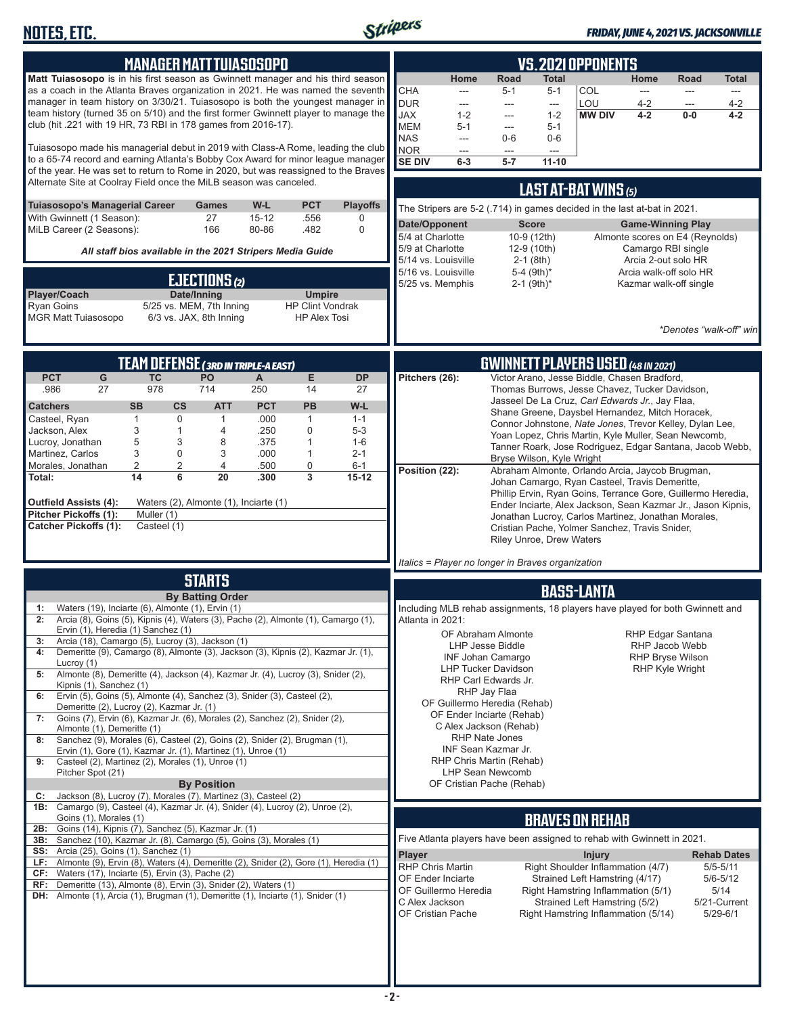

#### *FRIDAY, JUNE 4, 2021 VS. JACKSONVILLE*

| <b>MANAGER MATT TUIASOSOPO</b><br>Matt Tuiasosopo is in his first season as Gwinnett manager and his third season<br>as a coach in the Atlanta Braves organization in 2021. He was named the seventh<br>manager in team history on 3/30/21. Tuiasosopo is both the youngest manager in<br>team history (turned 35 on 5/10) and the first former Gwinnett player to manage the<br>club (hit .221 with 19 HR, 73 RBI in 178 games from 2016-17).<br>Tuiasosopo made his managerial debut in 2019 with Class-A Rome, leading the club<br>to a 65-74 record and earning Atlanta's Bobby Cox Award for minor league manager<br>of the year. He was set to return to Rome in 2020, but was reassigned to the Braves<br>Alternate Site at Coolray Field once the MiLB season was canceled.<br>Tuiasosopo's Managerial Career<br>W-L<br><b>PCT</b><br><b>Playoffs</b><br>Games<br>With Gwinnett (1 Season):<br>27<br>$15 - 12$<br>.556<br>0<br>MiLB Career (2 Seasons):<br>166<br>80-86<br>.482<br>$\mathbf 0$                                                                                                                                                                                                                           | <b>VS. 2021 OPPONENTS</b><br>Home<br>Road<br>Total<br>Home<br><b>Total</b><br>Road<br><b>COL</b><br><b>CHA</b><br>$5 - 1$<br>$5 - 1$<br>$---$<br>$\frac{1}{2}$<br>$\frac{1}{2}$<br>$---$<br><b>DUR</b><br>LOU<br>$4 - 2$<br>$4 - 2$<br>---<br>---<br>---<br>---<br><b>JAX</b><br>$1 - 2$<br><b>MW DIV</b><br>$4 - 2$<br>$0-0$<br>$4 - 2$<br>$1 - 2$<br>---<br><b>MEM</b><br>$5 - 1$<br>$5 - 1$<br>---<br><b>NAS</b><br>$0-6$<br>$0-6$<br>---<br><b>NOR</b><br>---<br>---<br>---<br><b>SE DIV</b><br>$5 - 7$<br>$11 - 10$<br>$6-3$<br>LAST AT-BAT WINS (5)<br>The Stripers are 5-2 (.714) in games decided in the last at-bat in 2021.<br>Date/Opponent<br><b>Score</b><br><b>Game-Winning Play</b>                                                                                                                                                                                                                                      |
|----------------------------------------------------------------------------------------------------------------------------------------------------------------------------------------------------------------------------------------------------------------------------------------------------------------------------------------------------------------------------------------------------------------------------------------------------------------------------------------------------------------------------------------------------------------------------------------------------------------------------------------------------------------------------------------------------------------------------------------------------------------------------------------------------------------------------------------------------------------------------------------------------------------------------------------------------------------------------------------------------------------------------------------------------------------------------------------------------------------------------------------------------------------------------------------------------------------------------------|-----------------------------------------------------------------------------------------------------------------------------------------------------------------------------------------------------------------------------------------------------------------------------------------------------------------------------------------------------------------------------------------------------------------------------------------------------------------------------------------------------------------------------------------------------------------------------------------------------------------------------------------------------------------------------------------------------------------------------------------------------------------------------------------------------------------------------------------------------------------------------------------------------------------------------------------|
| All staff bios available in the 2021 Stripers Media Guide<br>EJECTIONS (2)<br>Player/Coach<br>Date/Inning<br><b>Umpire</b><br>Ryan Goins<br>5/25 vs. MEM, 7th Inning<br><b>HP Clint Vondrak</b><br><b>MGR Matt Tuiasosopo</b><br>6/3 vs. JAX, 8th Inning<br><b>HP Alex Tosi</b>                                                                                                                                                                                                                                                                                                                                                                                                                                                                                                                                                                                                                                                                                                                                                                                                                                                                                                                                                  | 5/4 at Charlotte<br>10-9 (12th)<br>Almonte scores on E4 (Reynolds)<br>5/9 at Charlotte<br>12-9 (10th)<br>Camargo RBI single<br>5/14 vs. Louisville<br>$2-1$ (8th)<br>Arcia 2-out solo HR<br>5/16 vs. Louisville<br>5-4 (9th)*<br>Arcia walk-off solo HR<br>5/25 vs. Memphis<br>$2-1$ (9th) <sup>*</sup><br>Kazmar walk-off single<br>*Denotes "walk-off" win                                                                                                                                                                                                                                                                                                                                                                                                                                                                                                                                                                            |
| TEAM DEFENSE (3RD IN TRIPLE-A EAST)<br>E<br><b>PCT</b><br>PO<br>G<br><b>TC</b><br><b>DP</b><br>A<br>978<br>714<br>27<br>250<br>14<br>.986<br>27<br><b>SB</b><br>$\mathsf{cs}$<br><b>ATT</b><br><b>PCT</b><br><b>PB</b><br>W-L<br><b>Catchers</b><br>Casteel, Ryan<br>1<br>0<br>.000<br>1<br>1<br>$1 - 1$<br>.250<br>$\mathbf 0$<br>Jackson, Alex<br>3<br>$\mathbf{1}$<br>$\overline{4}$<br>$5 - 3$<br>5<br>3<br>8<br>$\mathbf{1}$<br>Lucroy, Jonathan<br>.375<br>$1 - 6$<br>3<br>Martinez, Carlos<br>$\mathbf 0$<br>.000<br>3<br>1<br>$2 - 1$<br>2<br>2<br>4<br>0<br>Morales, Jonathan<br>.500<br>$6 - 1$<br>6<br>20<br>3<br>14<br>.300<br>$15-12$<br>Total:<br><b>Outfield Assists (4):</b><br>Waters (2), Almonte (1), Inciarte (1)<br><b>Pitcher Pickoffs (1):</b><br>Muller (1)<br>Casteel (1)<br><b>Catcher Pickoffs (1):</b>                                                                                                                                                                                                                                                                                                                                                                                               | <b>GWINNETT PLAYERS USED (48 IN 2021)</b><br>Pitchers (26):<br>Victor Arano, Jesse Biddle, Chasen Bradford,<br>Thomas Burrows, Jesse Chavez, Tucker Davidson,<br>Jasseel De La Cruz, Carl Edwards Jr., Jay Flaa,<br>Shane Greene, Daysbel Hernandez, Mitch Horacek,<br>Connor Johnstone, Nate Jones, Trevor Kelley, Dylan Lee,<br>Yoan Lopez, Chris Martin, Kyle Muller, Sean Newcomb,<br>Tanner Roark, Jose Rodriguez, Edgar Santana, Jacob Webb,<br>Bryse Wilson, Kyle Wright<br>Position (22):<br>Abraham Almonte, Orlando Arcia, Jaycob Brugman,<br>Johan Camargo, Ryan Casteel, Travis Demeritte,<br>Phillip Ervin, Ryan Goins, Terrance Gore, Guillermo Heredia,<br>Ender Inciarte, Alex Jackson, Sean Kazmar Jr., Jason Kipnis,<br>Jonathan Lucroy, Carlos Martinez, Jonathan Morales,<br>Cristian Pache, Yolmer Sanchez, Travis Snider,<br><b>Riley Unroe, Drew Waters</b><br>Italics = Player no longer in Braves organization |
| <b>STARTS</b><br><b>By Batting Order</b><br>Waters (19), Inciarte (6), Almonte (1), Ervin (1)<br>1:<br>Arcia (8), Goins (5), Kipnis (4), Waters (3), Pache (2), Almonte (1), Camargo (1),<br>2:<br>Ervin (1), Heredia (1) Sanchez (1)<br>Arcia (18), Camargo (5), Lucroy (3), Jackson (1)<br>3:<br>Demeritte (9), Camargo (8), Almonte (3), Jackson (3), Kipnis (2), Kazmar Jr. (1),<br>4:<br>Lucroy (1)<br>Almonte (8), Demeritte (4), Jackson (4), Kazmar Jr. (4), Lucroy (3), Snider (2),<br>5:<br>Kipnis (1), Sanchez (1)<br>Ervin (5), Goins (5), Almonte (4), Sanchez (3), Snider (3), Casteel (2),<br>6:<br>Demeritte (2), Lucroy (2), Kazmar Jr. (1)<br>Goins (7), Ervin (6), Kazmar Jr. (6), Morales (2), Sanchez (2), Snider (2),<br>7:<br>Almonte (1), Demeritte (1)<br>Sanchez (9), Morales (6), Casteel (2), Goins (2), Snider (2), Brugman (1),<br>8:<br>Ervin (1), Gore (1), Kazmar Jr. (1), Martinez (1), Unroe (1)<br>Casteel (2), Martinez (2), Morales (1), Unroe (1)<br>9:<br>Pitcher Spot (21)<br><b>By Position</b><br>Jackson (8), Lucroy (7), Morales (7), Martinez (3), Casteel (2)<br>C:<br>1B: Camargo (9), Casteel (4), Kazmar Jr. (4), Snider (4), Lucroy (2), Unroe (2),<br>Goins (1), Morales (1) | <b>BASS-LANTA</b><br>Including MLB rehab assignments, 18 players have played for both Gwinnett and<br>Atlanta in 2021:<br><b>RHP Edgar Santana</b><br>OF Abraham Almonte<br>LHP Jesse Biddle<br>RHP Jacob Webb<br>INF Johan Camargo<br><b>RHP Bryse Wilson</b><br><b>LHP Tucker Davidson</b><br><b>RHP Kyle Wright</b><br>RHP Carl Edwards Jr.<br>RHP Jay Flaa<br>OF Guillermo Heredia (Rehab)<br>OF Ender Inciarte (Rehab)<br>C Alex Jackson (Rehab)<br><b>RHP Nate Jones</b><br>INF Sean Kazmar Jr.<br>RHP Chris Martin (Rehab)<br><b>LHP Sean Newcomb</b><br>OF Cristian Pache (Rehab)<br><b>BRAVES ON REHAB</b>                                                                                                                                                                                                                                                                                                                     |
| Goins (14), Kipnis (7), Sanchez (5), Kazmar Jr. (1)<br>2B:<br>3B: Sanchez (10), Kazmar Jr. (8), Camargo (5), Goins (3), Morales (1)<br><b>SS:</b> Arcia (25), Goins (1), Sanchez (1)<br>LF: Almonte (9), Ervin (8), Waters (4), Demeritte (2), Snider (2), Gore (1), Heredia (1)<br>$CF:$ Waters (17), Inciarte (5), Ervin (3), Pache (2)<br>RF: Demeritte (13), Almonte (8), Ervin (3), Snider (2), Waters (1)<br><b>DH:</b> Almonte (1), Arcia (1), Brugman (1), Demeritte (1), Inciarte (1), Snider (1)                                                                                                                                                                                                                                                                                                                                                                                                                                                                                                                                                                                                                                                                                                                       | Five Atlanta players have been assigned to rehab with Gwinnett in 2021.<br><b>Player</b><br><b>Injury</b><br><b>Rehab Dates</b><br><b>RHP Chris Martin</b><br>Right Shoulder Inflammation (4/7)<br>$5/5 - 5/11$<br>OF Ender Inciarte<br>Strained Left Hamstring (4/17)<br>$5/6 - 5/12$<br>5/14<br>OF Guillermo Heredia<br>Right Hamstring Inflammation (5/1)<br>C Alex Jackson<br>Strained Left Hamstring (5/2)<br>5/21-Current<br>OF Cristian Pache<br>Right Hamstring Inflammation (5/14)<br>$5/29 - 6/1$                                                                                                                                                                                                                                                                                                                                                                                                                             |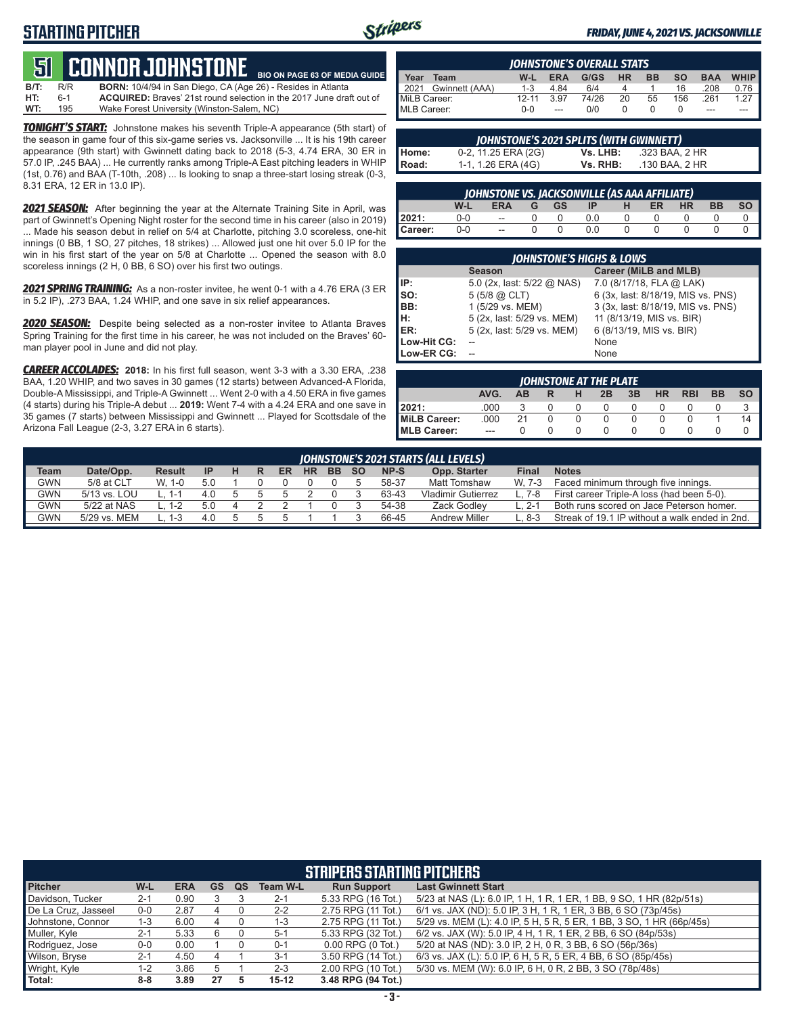# **STARTING PITCHER**



**BIO ON PAGE 63 OF MEDIA GUIDE**

#### *FRIDAY, JUNE 4, 2021 VS. JACKSONVILLE*

# **51****CONNOR JOHNSTONE**

**B/T:** R/R **BORN:** 10/4/94 in San Diego, CA (Age 26) - Resides in Atlanta ACQUIRED: Braves' 21st round selection in the 2017 June draft out of **WT:** 195 Wake Forest University (Winston-Salem, NC)

*TONIGHT'S START:* Johnstone makes his seventh Triple-A appearance (5th start) of the season in game four of this six-game series vs. Jacksonville ... It is his 19th career appearance (9th start) with Gwinnett dating back to 2018 (5-3, 4.74 ERA, 30 ER in 57.0 IP, .245 BAA) ... He currently ranks among Triple-A East pitching leaders in WHIP (1st, 0.76) and BAA (T-10th, .208) ... Is looking to snap a three-start losing streak (0-3, 8.31 ERA, 12 ER in 13.0 IP).

*2021 SEASON:* After beginning the year at the Alternate Training Site in April, was part of Gwinnett's Opening Night roster for the second time in his career (also in 2019) ... Made his season debut in relief on 5/4 at Charlotte, pitching 3.0 scoreless, one-hit innings (0 BB, 1 SO, 27 pitches, 18 strikes) ... Allowed just one hit over 5.0 IP for the win in his first start of the year on 5/8 at Charlotte ... Opened the season with 8.0 scoreless innings (2 H, 0 BB, 6 SO) over his first two outings.

*2021 SPRING TRAINING:* As a non-roster invitee, he went 0-1 with a 4.76 ERA (3 ER in 5.2 IP), .273 BAA, 1.24 WHIP, and one save in six relief appearances.

*2020 SEASON:* Despite being selected as a non-roster invitee to Atlanta Braves Spring Training for the first time in his career, he was not included on the Braves' 60 man player pool in June and did not play.

*CAREER ACCOLADES:* **2018:** In his first full season, went 3-3 with a 3.30 ERA, .238 BAA, 1.20 WHIP, and two saves in 30 games (12 starts) between Advanced-A Florida, Double-A Mississippi, and Triple-A Gwinnett ... Went 2-0 with a 4.50 ERA in five games (4 starts) during his Triple-A debut ... **2019:** Went 7-4 with a 4.24 ERA and one save in 35 games (7 starts) between Mississippi and Gwinnett ... Played for Scottsdale of the Arizona Fall League (2-3, 3.27 ERA in 6 starts).

|              | <b>IOHNSTONE'S OVERALL STATS</b> |           |            |       |           |           |           |            |             |  |  |  |  |
|--------------|----------------------------------|-----------|------------|-------|-----------|-----------|-----------|------------|-------------|--|--|--|--|
| Year         | Team                             | W-L       | <b>ERA</b> | G/GS  | <b>HR</b> | <b>BB</b> | <b>SO</b> | <b>BAA</b> | <b>WHIP</b> |  |  |  |  |
|              | 2021 Gwinnett (AAA)              | $1 - 3$   | 4.84       | 6/4   |           |           | 16        | .208       | 0.76        |  |  |  |  |
| MiLB Career: |                                  | $12 - 11$ | 3.97       | 74/26 | 20        | 55        | 156       | 261        | 1.27        |  |  |  |  |
| MLB Career:  |                                  | $0 - 0$   | $---$      | 0/0   |           |           |           | ---        | ---         |  |  |  |  |

|       | JOHNSTONE'S 2021 SPLITS (WITH GWINNETT) |          |                |  |  |  |  |  |  |  |  |  |  |  |
|-------|-----------------------------------------|----------|----------------|--|--|--|--|--|--|--|--|--|--|--|
| Home: | 0-2, 11.25 ERA (2G)                     | Vs. LHB: | .323 BAA. 2 HR |  |  |  |  |  |  |  |  |  |  |  |
| Road: | 1-1, 1.26 ERA (4G)                      | Vs. RHB: | .130 BAA. 2 HR |  |  |  |  |  |  |  |  |  |  |  |

| <b>JOHNSTONE VS. JACKSONVILLE (AS AAA AFFILIATE)</b> |                                                                                     |               |  |  |     |  |  |  |  |  |  |  |  |  |
|------------------------------------------------------|-------------------------------------------------------------------------------------|---------------|--|--|-----|--|--|--|--|--|--|--|--|--|
|                                                      | <b>SO</b><br>W-L<br><b>BB</b><br><b>HR</b><br><b>ERA</b><br><b>ER</b><br>GS.<br>-IP |               |  |  |     |  |  |  |  |  |  |  |  |  |
| 12021:                                               | 0-0                                                                                 | $\sim$        |  |  | 0.0 |  |  |  |  |  |  |  |  |  |
| Career:                                              | $0 - 0$                                                                             | $\sim$ $\sim$ |  |  | 0.0 |  |  |  |  |  |  |  |  |  |

| <b>JOHNSTONE'S HIGHS &amp; LOWS</b> |                            |                                    |  |  |  |  |  |  |  |  |  |
|-------------------------------------|----------------------------|------------------------------------|--|--|--|--|--|--|--|--|--|
|                                     | <b>Season</b>              | Career (MiLB and MLB)              |  |  |  |  |  |  |  |  |  |
| IP:                                 | 5.0 (2x, last: 5/22 @ NAS) | 7.0 (8/17/18, FLA @ LAK)           |  |  |  |  |  |  |  |  |  |
| so:                                 | $5(5/8)$ $\omega$ CLT)     | 6 (3x, last: 8/18/19, MIS vs. PNS) |  |  |  |  |  |  |  |  |  |
| BB:                                 | 1 (5/29 vs. MEM)           | 3 (3x, last: 8/18/19, MIS vs. PNS) |  |  |  |  |  |  |  |  |  |
| IH:                                 | 5 (2x, last: 5/29 vs. MEM) | 11 (8/13/19, MIS vs. BIR)          |  |  |  |  |  |  |  |  |  |
| IER:                                | 5 (2x, last: 5/29 vs. MEM) | 6 (8/13/19, MIS vs. BIR)           |  |  |  |  |  |  |  |  |  |
| Low-Hit CG:                         |                            | None                               |  |  |  |  |  |  |  |  |  |
| Low-ER CG:                          |                            | None                               |  |  |  |  |  |  |  |  |  |

| JOHNSTONE AT THE PLATE |      |    |   |   |    |    |    |            |           |           |  |  |
|------------------------|------|----|---|---|----|----|----|------------|-----------|-----------|--|--|
|                        | AVG. | AВ | R | н | 2B | 3B | HR | <b>RBI</b> | <b>BB</b> | <b>SO</b> |  |  |
| 2021:                  | .000 |    |   |   |    |    |    |            |           |           |  |  |
| MiLB Career:           | .000 | 21 |   |   |    |    |    |            |           | 14        |  |  |
| <b>IMLB Career:</b>    | ---  |    |   |   |    |    |    |            |           |           |  |  |

| JOHNSTONE'S 2021 STARTS (ALL LEVELS) |              |               |           |  |   |    |           |           |           |       |                           |        |                                                |
|--------------------------------------|--------------|---------------|-----------|--|---|----|-----------|-----------|-----------|-------|---------------------------|--------|------------------------------------------------|
| Team                                 | Date/Opp.    | <b>Result</b> | <b>IP</b> |  | R | ER | <b>HR</b> | <b>BB</b> | <b>SO</b> | NP-S  | Opp. Starter              | Final  | <b>Notes</b>                                   |
| <b>GWN</b>                           | 5/8 at CLT   | W. 1-0        | 5.0       |  |   |    |           |           |           | 58-37 | Matt Tomshaw              | W. 7-3 | Faced minimum through five innings.            |
| <b>GWN</b>                           | 5/13 vs. LOU | 1-1 ._        | 4.0       |  |   |    |           |           |           | 63-43 | <b>Vladimir Gutierrez</b> | ∟. 7-8 | First career Triple-A loss (had been 5-0).     |
| <b>GWN</b>                           | 5/22 at NAS  | L. 1-2        | 5.0       |  |   |    |           |           |           | 54-38 | Zack Godlev               | L. 2-1 | Both runs scored on Jace Peterson homer.       |
| GWN                                  | 5/29 vs. MEM |               | 4.0       |  |   |    |           |           |           | 66-45 | <b>Andrew Miller</b>      | ∟. 8-3 | Streak of 19.1 IP without a walk ended in 2nd. |

| <b>STRIPERS STARTING PITCHERS</b> |                                                                                                                       |            |           |    |                 |                       |                                                                      |  |  |  |  |  |  |  |
|-----------------------------------|-----------------------------------------------------------------------------------------------------------------------|------------|-----------|----|-----------------|-----------------------|----------------------------------------------------------------------|--|--|--|--|--|--|--|
| <b>Pitcher</b>                    | W-L                                                                                                                   | <b>ERA</b> | <b>GS</b> | QS | <b>Team W-L</b> | <b>Run Support</b>    | <b>Last Gwinnett Start</b>                                           |  |  |  |  |  |  |  |
| Davidson, Tucker                  | $2 - 1$                                                                                                               | 0.90       |           |    | $2 - 1$         | 5.33 RPG (16 Tot.)    | 5/23 at NAS (L): 6.0 IP, 1 H, 1 R, 1 ER, 1 BB, 9 SO, 1 HR (82p/51s)  |  |  |  |  |  |  |  |
| De La Cruz, Jasseel               | 6/1 vs. JAX (ND): 5.0 IP, 3 H, 1 R, 1 ER, 3 BB, 6 SO (73p/45s)<br>2.75 RPG (11 Tot.)<br>$0-0$<br>2.87<br>$2 - 2$<br>4 |            |           |    |                 |                       |                                                                      |  |  |  |  |  |  |  |
| Johnstone, Connor                 | $1 - 3$                                                                                                               | 6.00       | 4         |    | $1 - 3$         | 2.75 RPG (11 Tot.)    | 5/29 vs. MEM (L): 4.0 IP, 5 H, 5 R, 5 ER, 1 BB, 3 SO, 1 HR (66p/45s) |  |  |  |  |  |  |  |
| Muller, Kyle                      | $2 - 1$                                                                                                               | 5.33       | 6         |    | $5-1$           | 5.33 RPG (32 Tot.)    | 6/2 vs. JAX (W): 5.0 IP, 4 H, 1 R, 1 ER, 2 BB, 6 SO (84p/53s)        |  |  |  |  |  |  |  |
| Rodriquez, Jose                   | $0-0$                                                                                                                 | 0.00       |           |    | $0 - 1$         | $0.00$ RPG $(0$ Tot.) | 5/20 at NAS (ND): 3.0 IP, 2 H, 0 R, 3 BB, 6 SO (56p/36s)             |  |  |  |  |  |  |  |
| Wilson, Bryse                     | $2 - 1$                                                                                                               | 4.50       | 4         |    | $3 - 1$         | 3.50 RPG (14 Tot.)    | 6/3 vs. JAX (L): 5.0 IP, 6 H, 5 R, 5 ER, 4 BB, 6 SO (85p/45s)        |  |  |  |  |  |  |  |
| Wright, Kyle                      | $1 - 2$                                                                                                               | 3.86       |           |    | $2 - 3$         | 2.00 RPG (10 Tot.)    | 5/30 vs. MEM (W): 6.0 IP, 6 H, 0 R, 2 BB, 3 SO (78p/48s)             |  |  |  |  |  |  |  |
| l Total:                          | $8 - 8$                                                                                                               | 3.89       | 27        |    | $15 - 12$       | 3.48 RPG (94 Tot.)    |                                                                      |  |  |  |  |  |  |  |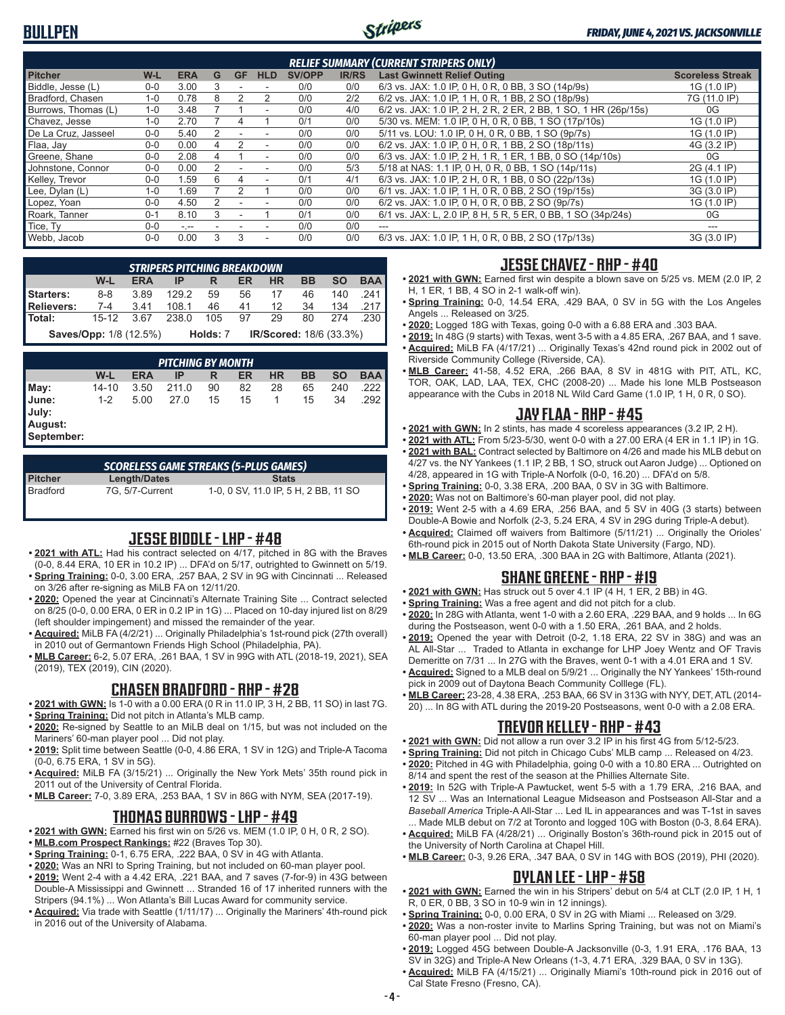

| <b>RELIEF SUMMARY (CURRENT STRIPERS ONLY)</b> |         |            |   |                          |                          |               |              |                                                                 |                         |  |  |
|-----------------------------------------------|---------|------------|---|--------------------------|--------------------------|---------------|--------------|-----------------------------------------------------------------|-------------------------|--|--|
| <b>Pitcher</b>                                | $W-L$   | <b>ERA</b> | G | <b>GF</b>                | <b>HLD</b>               | <b>SV/OPP</b> | <b>IR/RS</b> | <b>Last Gwinnett Relief Outing</b>                              | <b>Scoreless Streak</b> |  |  |
| Biddle, Jesse (L)                             | $0 - 0$ | 3.00       | 3 |                          |                          | 0/0           | 0/0          | 6/3 vs. JAX: 1.0 IP, 0 H, 0 R, 0 BB, 3 SO (14p/9s)              | 1G (1.0 IP)             |  |  |
| Bradford, Chasen                              | $1 - 0$ | 0.78       | 8 | 2                        | 2                        | 0/0           | 2/2          | 6/2 vs. JAX: 1.0 IP, 1 H, 0 R, 1 BB, 2 SO (18p/9s)              | 7G (11.0 IP)            |  |  |
| Burrows. Thomas (L)                           | $1 - 0$ | 3.48       |   |                          | $\overline{\phantom{a}}$ | 0/0           | 4/0          | 6/2 vs. JAX: 1.0 IP, 2 H, 2 R, 2 ER, 2 BB, 1 SO, 1 HR (26p/15s) | 0G                      |  |  |
| Chavez, Jesse                                 | $1 - 0$ | 2.70       |   | 4                        |                          | 0/1           | 0/0          | 5/30 vs. MEM: 1.0 IP, 0 H, 0 R, 0 BB, 1 SO (17p/10s)            | 1G (1.0 IP)             |  |  |
| De La Cruz. Jasseel                           | $0 - 0$ | 5.40       | 2 |                          |                          | 0/0           | 0/0          | 5/11 vs. LOU: 1.0 IP, 0 H, 0 R, 0 BB, 1 SO (9p/7s)              | 1G (1.0 IP)             |  |  |
| Flaa, Jay                                     | $0 - 0$ | 0.00       | 4 |                          | $\overline{\phantom{a}}$ | 0/0           | 0/0          | 6/2 vs. JAX: 1.0 IP, 0 H, 0 R, 1 BB, 2 SO (18p/11s)             | 4G (3.2 IP)             |  |  |
| Greene, Shane                                 | $0 - 0$ | 2.08       | 4 |                          | $\overline{\phantom{a}}$ | 0/0           | 0/0          | 6/3 vs. JAX: 1.0 IP, 2 H, 1 R, 1 ER, 1 BB, 0 SO (14p/10s)       | 0G                      |  |  |
| Johnstone, Connor                             | $0 - 0$ | 0.00       |   |                          | ۰                        | 0/0           | 5/3          | 5/18 at NAS: 1.1 IP, 0 H, 0 R, 0 BB, 1 SO (14p/11s)             | 2G (4.1 IP)             |  |  |
| Kelley, Trevor                                | $0 - 0$ | 1.59       | 6 |                          |                          | 0/1           | 4/1          | 6/3 vs. JAX: 1.0 IP, 2 H, 0 R, 1 BB, 0 SO (22p/13s)             | 1G (1.0 IP)             |  |  |
| Lee, Dylan (L)                                | $1 - 0$ | 1.69       |   | 2                        |                          | 0/0           | 0/0          | 6/1 vs. JAX: 1.0 IP, 1 H, 0 R, 0 BB, 2 SO (19p/15s)             | 3G (3.0 IP)             |  |  |
| Lopez, Yoan                                   | $0 - 0$ | 4.50       | 2 | $\overline{\phantom{a}}$ | $\overline{\phantom{a}}$ | 0/0           | 0/0          | 6/2 vs. JAX: 1.0 IP, 0 H, 0 R, 0 BB, 2 SO (9p/7s)               | 1G (1.0 IP)             |  |  |
| Roark. Tanner                                 | $0 - 1$ | 8.10       | 3 |                          |                          | 0/1           | 0/0          | 6/1 vs. JAX: L, 2.0 IP, 8 H, 5 R, 5 ER, 0 BB, 1 SO (34p/24s)    | 0G                      |  |  |
| Tice, Ty                                      | $0 - 0$ | $-1$       |   |                          |                          | 0/0           | 0/0          | $- - -$                                                         |                         |  |  |
| Webb, Jacob                                   | $0 - 0$ | 0.00       | 3 | 3                        | ۰                        | 0/0           | 0/0          | 6/3 vs. JAX: 1.0 IP, 1 H, 0 R, 0 BB, 2 SO (17p/13s)             | 3G (3.0 IP)             |  |  |

|                   | <b>STRIPERS PITCHING BREAKDOWN</b>                                                             |      |       |          |    |                                |    |        |        |  |  |  |  |
|-------------------|------------------------------------------------------------------------------------------------|------|-------|----------|----|--------------------------------|----|--------|--------|--|--|--|--|
|                   | <b>BAA</b><br><b>SO</b><br><b>BB</b><br>W-L<br><b>HR</b><br><b>ERA</b><br><b>ER</b><br>IP<br>R |      |       |          |    |                                |    |        |        |  |  |  |  |
| <b>Starters:</b>  | 8-8                                                                                            | 3.89 | 129.2 | 59       |    | 56 17                          | 46 | 140    | .241   |  |  |  |  |
| <b>Relievers:</b> | $7-4$ 3.41                                                                                     |      | 108.1 | 46       | 41 | 12                             |    | 34 134 | .217   |  |  |  |  |
| Total:            | 15-12                                                                                          | 367  | 238.0 | 105      | 97 | 29                             | 80 | 274    | .230 ∎ |  |  |  |  |
|                   | <b>Saves/Opp: 1/8 (12.5%)</b>                                                                  |      |       | Holds: 7 |    | <b>IR/Scored:</b> 18/6 (33.3%) |    |        |        |  |  |  |  |

|                                         | <b>PITCHING BY MONTH</b> |            |       |    |    |           |    |           |            |  |  |  |  |
|-----------------------------------------|--------------------------|------------|-------|----|----|-----------|----|-----------|------------|--|--|--|--|
|                                         | W-L                      | <b>ERA</b> | IP    | R  | ER | <b>HR</b> | BB | <b>SO</b> | <b>BAA</b> |  |  |  |  |
| May:                                    | 14-10                    | 3.50       | 211.0 | 90 | 82 | 28        | 65 | 240       | ا 222.     |  |  |  |  |
| June:<br>July:<br>August:<br>September: | $1 - 2$                  | 5.00       | 27.0  | 15 | 15 |           | 15 | 34        | .292       |  |  |  |  |

| <b>SCORELESS GAME STREAKS (5-PLUS GAMES)</b> |                 |                                      |  |  |  |  |  |  |  |  |  |
|----------------------------------------------|-----------------|--------------------------------------|--|--|--|--|--|--|--|--|--|
| <b>Pitcher</b>                               | Length/Dates    | <b>Stats</b>                         |  |  |  |  |  |  |  |  |  |
| l Bradford                                   | 7G. 5/7-Current | 1-0, 0 SV, 11.0 IP, 5 H, 2 BB, 11 SO |  |  |  |  |  |  |  |  |  |

### **JESSE BIDDLE - LHP - #48**

- **• 2021 with ATL:** Had his contract selected on 4/17, pitched in 8G with the Braves (0-0, 8.44 ERA, 10 ER in 10.2 IP) ... DFA'd on 5/17, outrighted to Gwinnett on 5/19.
- **• Spring Training:** 0-0, 3.00 ERA, .257 BAA, 2 SV in 9G with Cincinnati ... Released on 3/26 after re-signing as MiLB FA on 12/11/20.
- **• 2020:** Opened the year at Cincinnati's Alternate Training Site ... Contract selected on 8/25 (0-0, 0.00 ERA, 0 ER in 0.2 IP in 1G) ... Placed on 10-day injured list on 8/29 (left shoulder impingement) and missed the remainder of the year.
- **• Acquired:** MiLB FA (4/2/21) ... Originally Philadelphia's 1st-round pick (27th overall) in 2010 out of Germantown Friends High School (Philadelphia, PA).
- **• MLB Career:** 6-2, 5.07 ERA, .261 BAA, 1 SV in 99G with ATL (2018-19, 2021), SEA (2019), TEX (2019), CIN (2020).

### **CHASEN BRADFORD - RHP - #28**

- **• 2021 with GWN:** Is 1-0 with a 0.00 ERA (0 R in 11.0 IP, 3 H, 2 BB, 11 SO) in last 7G.
- **• Spring Training:** Did not pitch in Atlanta's MLB camp. **• 2020:** Re-signed by Seattle to an MiLB deal on 1/15, but was not included on the Mariners' 60-man player pool ... Did not play.
- **• 2019:** Split time between Seattle (0-0, 4.86 ERA, 1 SV in 12G) and Triple-A Tacoma (0-0, 6.75 ERA, 1 SV in 5G).
- **• Acquired:** MiLB FA (3/15/21) ... Originally the New York Mets' 35th round pick in 2011 out of the University of Central Florida.
- **• MLB Career:** 7-0, 3.89 ERA, .253 BAA, 1 SV in 86G with NYM, SEA (2017-19).

## **THOMAS BURROWS - LHP - #49**

- **• 2021 with GWN:** Earned his first win on 5/26 vs. MEM (1.0 IP, 0 H, 0 R, 2 SO).
- **• MLB.com Prospect Rankings:** #22 (Braves Top 30).
- **• Spring Training:** 0-1, 6.75 ERA, .222 BAA, 0 SV in 4G with Atlanta. **• 2020:** Was an NRI to Spring Training, but not included on 60-man player pool.
- **• 2019:** Went 2-4 with a 4.42 ERA, .221 BAA, and 7 saves (7-for-9) in 43G between Double-A Mississippi and Gwinnett ... Stranded 16 of 17 inherited runners with the Stripers (94.1%) ... Won Atlanta's Bill Lucas Award for community service.
- **• Acquired:** Via trade with Seattle (1/11/17) ... Originally the Mariners' 4th-round pick in 2016 out of the University of Alabama.

### **JESSE CHAVEZ - RHP - #40**

- **• 2021 with GWN:** Earned first win despite a blown save on 5/25 vs. MEM (2.0 IP, 2 H, 1 ER, 1 BB, 4 SO in 2-1 walk-off win).
- **• Spring Training:** 0-0, 14.54 ERA, .429 BAA, 0 SV in 5G with the Los Angeles Angels ... Released on 3/25.
- **• 2020:** Logged 18G with Texas, going 0-0 with a 6.88 ERA and .303 BAA.
- **• 2019:** In 48G (9 starts) with Texas, went 3-5 with a 4.85 ERA, .267 BAA, and 1 save.
- **• Acquired:** MiLB FA (4/17/21) ... Originally Texas's 42nd round pick in 2002 out of Riverside Community College (Riverside, CA).
- **• MLB Career:** 41-58, 4.52 ERA, .266 BAA, 8 SV in 481G with PIT, ATL, KC, TOR, OAK, LAD, LAA, TEX, CHC (2008-20) ... Made his lone MLB Postseason appearance with the Cubs in 2018 NL Wild Card Game (1.0 IP, 1 H, 0 R, 0 SO).

### **JAY FLAA - RHP - #45**

- **• 2021 with GWN:** In 2 stints, has made 4 scoreless appearances (3.2 IP, 2 H).
- **• 2021 with ATL:** From 5/23-5/30, went 0-0 with a 27.00 ERA (4 ER in 1.1 IP) in 1G.
- **• 2021 with BAL:** Contract selected by Baltimore on 4/26 and made his MLB debut on 4/27 vs. the NY Yankees (1.1 IP, 2 BB, 1 SO, struck out Aaron Judge) ... Optioned on 4/28, appeared in 1G with Triple-A Norfolk (0-0, 16.20) ... DFA'd on 5/8.
- **• Spring Training:** 0-0, 3.38 ERA, .200 BAA, 0 SV in 3G with Baltimore.
- **• 2020:** Was not on Baltimore's 60-man player pool, did not play.
- **• 2019:** Went 2-5 with a 4.69 ERA, .256 BAA, and 5 SV in 40G (3 starts) between Double-A Bowie and Norfolk (2-3, 5.24 ERA, 4 SV in 29G during Triple-A debut).
- **• Acquired:** Claimed off waivers from Baltimore (5/11/21) ... Originally the Orioles' 6th-round pick in 2015 out of North Dakota State University (Fargo, ND).
- **• MLB Career:** 0-0, 13.50 ERA, .300 BAA in 2G with Baltimore, Atlanta (2021).

## **SHANE GREENE - RHP - #19**

- **• 2021 with GWN:** Has struck out 5 over 4.1 IP (4 H, 1 ER, 2 BB) in 4G.
- **• Spring Training:** Was a free agent and did not pitch for a club.
- **• 2020:** In 28G with Atlanta, went 1-0 with a 2.60 ERA, .229 BAA, and 9 holds ... In 6G during the Postseason, went 0-0 with a 1.50 ERA, .261 BAA, and 2 holds.
- **• 2019:** Opened the year with Detroit (0-2, 1.18 ERA, 22 SV in 38G) and was an AL All-Star ... Traded to Atlanta in exchange for LHP Joey Wentz and OF Travis Demeritte on 7/31 ... In 27G with the Braves, went 0-1 with a 4.01 ERA and 1 SV.
- **• Acquired:** Signed to a MLB deal on 5/9/21 ... Originally the NY Yankees' 15th-round pick in 2009 out of Daytona Beach Community Colllege (FL).
- **• MLB Career:** 23-28, 4.38 ERA, .253 BAA, 66 SV in 313G with NYY, DET, ATL (2014- 20) ... In 8G with ATL during the 2019-20 Postseasons, went 0-0 with a 2.08 ERA.

### **TREVOR KELLEY - RHP - #43**

- **• 2021 with GWN:** Did not allow a run over 3.2 IP in his first 4G from 5/12-5/23.
- **• Spring Training:** Did not pitch in Chicago Cubs' MLB camp ... Released on 4/23. **• 2020:** Pitched in 4G with Philadelphia, going 0-0 with a 10.80 ERA ... Outrighted on
- 8/14 and spent the rest of the season at the Phillies Alternate Site. **• 2019:** In 52G with Triple-A Pawtucket, went 5-5 with a 1.79 ERA, .216 BAA, and
- 12 SV ... Was an International League Midseason and Postseason All-Star and a *Baseball America* Triple-A All-Star ... Led IL in appearances and was T-1st in saves ... Made MLB debut on 7/2 at Toronto and logged 10G with Boston (0-3, 8.64 ERA).
- **• Acquired:** MiLB FA (4/28/21) ... Originally Boston's 36th-round pick in 2015 out of the University of North Carolina at Chapel Hill.
- **• MLB Career:** 0-3, 9.26 ERA, .347 BAA, 0 SV in 14G with BOS (2019), PHI (2020).

### **DYLAN LEE - LHP - #58**

- **• 2021 with GWN:** Earned the win in his Stripers' debut on 5/4 at CLT (2.0 IP, 1 H, 1 R, 0 ER, 0 BB, 3 SO in 10-9 win in 12 innings).
- **• Spring Training:** 0-0, 0.00 ERA, 0 SV in 2G with Miami ... Released on 3/29.
- **• 2020:** Was a non-roster invite to Marlins Spring Training, but was not on Miami's 60-man player pool ... Did not play.
- **• 2019:** Logged 45G between Double-A Jacksonville (0-3, 1.91 ERA, .176 BAA, 13 SV in 32G) and Triple-A New Orleans (1-3, 4.71 ERA, .329 BAA, 0 SV in 13G).
- **• Acquired:** MiLB FA (4/15/21) ... Originally Miami's 10th-round pick in 2016 out of Cal State Fresno (Fresno, CA).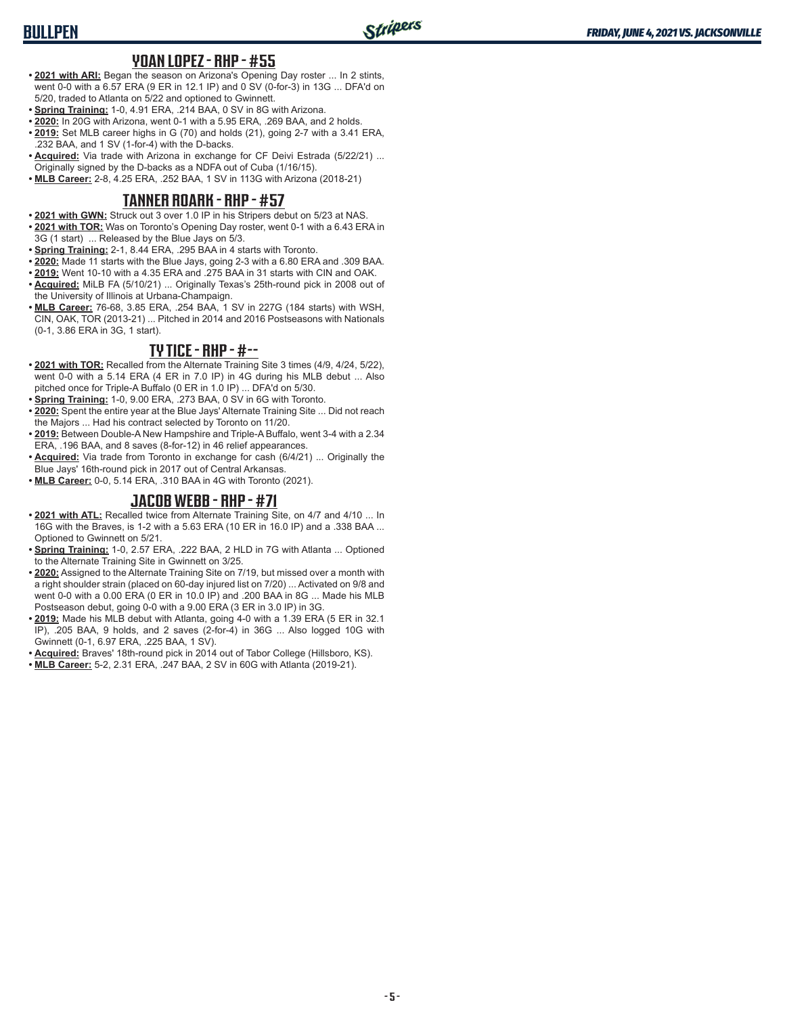# **BULLPEN**

#### **YOAN LOPEZ - RHP - #55**

- **• 2021 with ARI:** Began the season on Arizona's Opening Day roster ... In 2 stints, went 0-0 with a 6.57 ERA (9 ER in 12.1 IP) and 0 SV (0-for-3) in 13G ... DFA'd on 5/20, traded to Atlanta on 5/22 and optioned to Gwinnett.
- **• Spring Training:** 1-0, 4.91 ERA, .214 BAA, 0 SV in 8G with Arizona.
- **• 2020:** In 20G with Arizona, went 0-1 with a 5.95 ERA, .269 BAA, and 2 holds.
- **• 2019:** Set MLB career highs in G (70) and holds (21), going 2-7 with a 3.41 ERA, .232 BAA, and 1 SV (1-for-4) with the D-backs.
- **• Acquired:** Via trade with Arizona in exchange for CF Deivi Estrada (5/22/21) ... Originally signed by the D-backs as a NDFA out of Cuba (1/16/15).
- **• MLB Career:** 2-8, 4.25 ERA, .252 BAA, 1 SV in 113G with Arizona (2018-21)

#### **TANNER ROARK - RHP - #57**

- **• 2021 with GWN:** Struck out 3 over 1.0 IP in his Stripers debut on 5/23 at NAS.
- **• 2021 with TOR:** Was on Toronto's Opening Day roster, went 0-1 with a 6.43 ERA in 3G (1 start) ... Released by the Blue Jays on 5/3.
- **• Spring Training:** 2-1, 8.44 ERA, .295 BAA in 4 starts with Toronto.
- **• 2020:** Made 11 starts with the Blue Jays, going 2-3 with a 6.80 ERA and .309 BAA.
- **• 2019:** Went 10-10 with a 4.35 ERA and .275 BAA in 31 starts with CIN and OAK.
- **• Acquired:** MiLB FA (5/10/21) ... Originally Texas's 25th-round pick in 2008 out of the University of Illinois at Urbana-Champaign.
- **• MLB Career:** 76-68, 3.85 ERA, .254 BAA, 1 SV in 227G (184 starts) with WSH, CIN, OAK, TOR (2013-21) ... Pitched in 2014 and 2016 Postseasons with Nationals (0-1, 3.86 ERA in 3G, 1 start).

### **TY TICE - RHP - #--**

- **• 2021 with TOR:** Recalled from the Alternate Training Site 3 times (4/9, 4/24, 5/22), went 0-0 with a 5.14 ERA (4 ER in 7.0 IP) in 4G during his MLB debut ... Also pitched once for Triple-A Buffalo (0 ER in 1.0 IP) ... DFA'd on 5/30.
- **• Spring Training:** 1-0, 9.00 ERA, .273 BAA, 0 SV in 6G with Toronto.
- **• 2020:** Spent the entire year at the Blue Jays' Alternate Training Site ... Did not reach the Majors ... Had his contract selected by Toronto on 11/20.
- **• 2019:** Between Double-A New Hampshire and Triple-A Buffalo, went 3-4 with a 2.34 ERA, .196 BAA, and 8 saves (8-for-12) in 46 relief appearances.
- **• Acquired:** Via trade from Toronto in exchange for cash (6/4/21) ... Originally the Blue Jays' 16th-round pick in 2017 out of Central Arkansas.
- **• MLB Career:** 0-0, 5.14 ERA, .310 BAA in 4G with Toronto (2021).

### **JACOB WEBB - RHP - #71**

- **• 2021 with ATL:** Recalled twice from Alternate Training Site, on 4/7 and 4/10 ... In 16G with the Braves, is 1-2 with a 5.63 ERA (10 ER in 16.0 IP) and a .338 BAA ... Optioned to Gwinnett on 5/21.
- **• Spring Training:** 1-0, 2.57 ERA, .222 BAA, 2 HLD in 7G with Atlanta ... Optioned to the Alternate Training Site in Gwinnett on 3/25.
- **• 2020:** Assigned to the Alternate Training Site on 7/19, but missed over a month with a right shoulder strain (placed on 60-day injured list on 7/20) ... Activated on 9/8 and went 0-0 with a 0.00 ERA (0 ER in 10.0 IP) and .200 BAA in 8G ... Made his MLB Postseason debut, going 0-0 with a 9.00 ERA (3 ER in 3.0 IP) in 3G.
- **• 2019:** Made his MLB debut with Atlanta, going 4-0 with a 1.39 ERA (5 ER in 32.1 IP), .205 BAA, 9 holds, and 2 saves (2-for-4) in 36G ... Also logged 10G with Gwinnett (0-1, 6.97 ERA, .225 BAA, 1 SV).
- **• Acquired:** Braves' 18th-round pick in 2014 out of Tabor College (Hillsboro, KS).
- **• MLB Career:** 5-2, 2.31 ERA, .247 BAA, 2 SV in 60G with Atlanta (2019-21).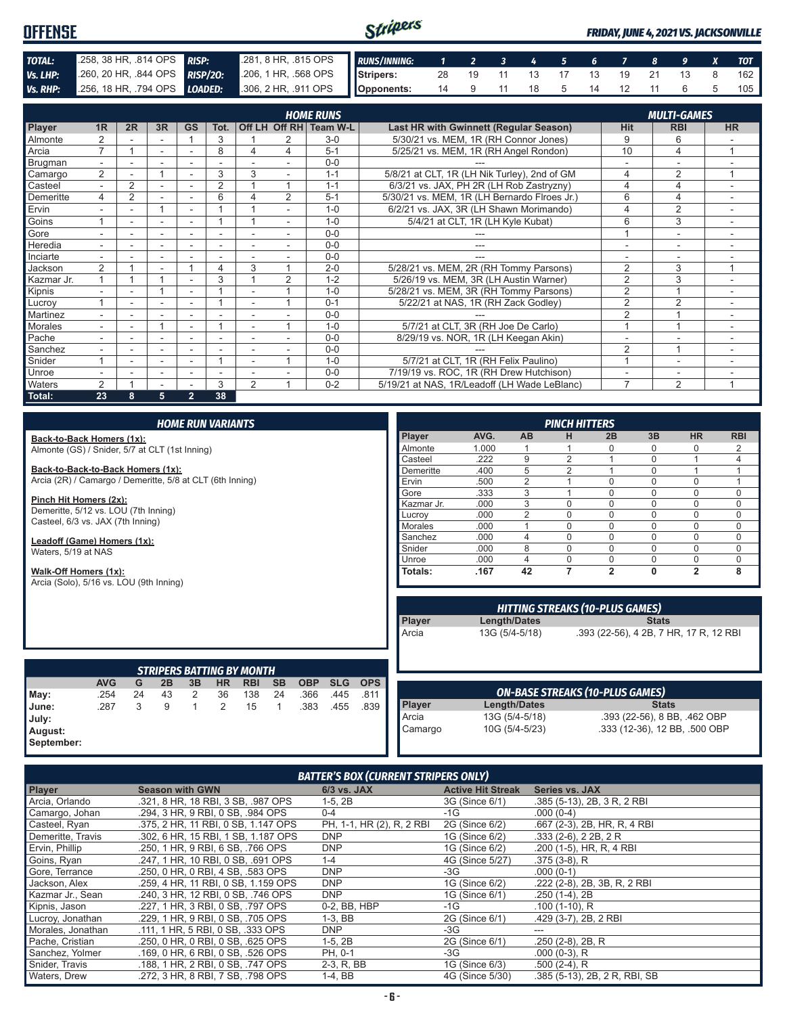#### Stripers **OFFENSE** *FRIDAY, JUNE 4, 2021 VS. JACKSONVILLE TOTAL:* .258, 38 HR, .814 OPS *RISP:* .281, 8 HR, .815 OPS *RUNS/INNING: 1 2 3 4 5 6 7 8 9 X TOT Vs. LHP:* .260, 20 HR, .844 OPS **RISP/20:** .206, 1 HR, .568 OPS **Stripers:** 28 19 11 13 17 13 19 21 13 8 162 *Vs. RHP:* .256, 18 HR, .794 OPS *LOADED:* .306, 2 HR, .911 OPS **Opponents:** 14 9 11 18 5 14 12 11 6 5 105

|                |                          |                |                          |                          |                          |                |                | <b>HOME RUNS</b> |                                              |                | <b>MULTI-GAMES</b>       |                         |
|----------------|--------------------------|----------------|--------------------------|--------------------------|--------------------------|----------------|----------------|------------------|----------------------------------------------|----------------|--------------------------|-------------------------|
| Player         | 1 <sub>R</sub>           | 2R             | 3R                       | <b>GS</b>                | Tot.                     |                | Off LH Off RH  | Team W-L         | Last HR with Gwinnett (Regular Season)       | <b>Hit</b>     | <b>RBI</b>               | <b>HR</b>               |
| Almonte        | $\overline{2}$           |                |                          |                          | 3                        |                | 2              | $3-0$            | 5/30/21 vs. MEM, 1R (RH Connor Jones)        | 9              | 6                        |                         |
| Arcia          | $\overline{ }$           |                | $\overline{\phantom{a}}$ |                          | 8                        | 4              | 4              | $5 - 1$          | 5/25/21 vs. MEM, 1R (RH Angel Rondon)        | 10             | 4                        |                         |
| Brugman        | $\overline{\phantom{0}}$ |                |                          |                          |                          |                |                | $0 - 0$          |                                              |                |                          |                         |
| Camargo        | $\overline{2}$           |                |                          |                          | 3                        | 3              |                | $1 - 1$          | 5/8/21 at CLT, 1R (LH Nik Turley), 2nd of GM | 4              | $\overline{2}$           |                         |
| Casteel        | $\overline{\phantom{0}}$ | $\overline{2}$ |                          | $\overline{\phantom{a}}$ | $\overline{2}$           |                |                | $1 - 1$          | 6/3/21 vs. JAX, PH 2R (LH Rob Zastryzny)     | 4              | 4                        |                         |
| Demeritte      | 4                        | $\overline{2}$ |                          |                          | 6                        | 4              | 2              | $5 - 1$          | 5/30/21 vs. MEM, 1R (LH Bernardo Flroes Jr.) | 6              | 4                        |                         |
| Ervin          |                          |                | 4                        |                          |                          |                |                | $1 - 0$          | 6/2/21 vs. JAX, 3R (LH Shawn Morimando)      | 4              | $\overline{2}$           |                         |
| Goins          |                          | ۰              | ۰                        | $\overline{\phantom{a}}$ |                          |                | $\sim$         | $1 - \Omega$     | 5/4/21 at CLT, 1R (LH Kyle Kubat)            | 6              | 3                        | ۰                       |
| Gore           |                          |                |                          |                          | ٠                        |                |                | $0 - 0$          |                                              |                |                          |                         |
| Heredia        |                          |                |                          |                          |                          |                |                | $0 - 0$          | ---                                          |                |                          |                         |
| Inciarte       |                          |                |                          |                          |                          |                |                | $0 - 0$          |                                              |                |                          |                         |
| Jackson        | $\overline{2}$           |                |                          |                          | 4                        | 3              |                | $2 - 0$          | 5/28/21 vs. MEM, 2R (RH Tommy Parsons)       | 2              | 3                        | $\overline{\mathbf{A}}$ |
| Kazmar Jr.     |                          |                |                          |                          | 3                        |                | $\overline{2}$ | $1 - 2$          | 5/26/19 vs. MEM, 3R (LH Austin Warner)       | $\overline{2}$ | 3                        |                         |
| Kipnis         |                          |                |                          |                          |                          |                |                | $1 - 0$          | 5/28/21 vs. MEM, 3R (RH Tommy Parsons)       | $\overline{2}$ |                          |                         |
| Lucroy         |                          |                |                          |                          |                          |                |                | $0 - 1$          | 5/22/21 at NAS, 1R (RH Zack Godley)          | $\overline{2}$ | $\overline{2}$           | $\sim$                  |
| Martinez       | $\overline{\phantom{0}}$ | ۰              | ۰                        | $\overline{\phantom{a}}$ | $\overline{\phantom{a}}$ |                |                | $0 - 0$          |                                              | $\overline{2}$ |                          | ۰                       |
| <b>Morales</b> | $\overline{\phantom{0}}$ | ۰              |                          |                          |                          |                |                | $1 - \Omega$     | 5/7/21 at CLT, 3R (RH Joe De Carlo)          |                |                          |                         |
| Pache          |                          |                |                          |                          |                          |                |                | $0 - 0$          | 8/29/19 vs. NOR, 1R (LH Keegan Akin)         |                |                          |                         |
| Sanchez        | $\overline{\phantom{0}}$ |                | ٠                        |                          | ٠                        |                |                | $0 - 0$          |                                              | $\overline{2}$ |                          |                         |
| Snider         |                          |                |                          |                          |                          |                |                | $1 - 0$          | 5/7/21 at CLT, 1R (RH Felix Paulino)         | $\overline{A}$ | $\overline{\phantom{a}}$ |                         |
| Unroe          |                          |                | $\sim$                   | ۰                        | $\overline{\phantom{a}}$ |                |                | $0 - 0$          | 7/19/19 vs. ROC, 1R (RH Drew Hutchison)      |                | $\overline{\phantom{a}}$ |                         |
| Waters         | 2                        |                |                          |                          | 3                        | $\overline{2}$ |                | $0 - 2$          | 5/19/21 at NAS, 1R/Leadoff (LH Wade LeBlanc) | $\overline{7}$ | $\overline{2}$           |                         |
| Total:         | 23                       | 8              | 5                        | $\overline{2}$           | 38                       |                |                |                  |                                              |                |                          |                         |

| <b>HOME RUN VARIANTS</b>                                                                       |            |    |    |    |                |                                  |           |            |                |                |                | <b>PINCH HITTERS</b>                                                                    |                |             |                                        |              |                                        |              |
|------------------------------------------------------------------------------------------------|------------|----|----|----|----------------|----------------------------------|-----------|------------|----------------|----------------|----------------|-----------------------------------------------------------------------------------------|----------------|-------------|----------------------------------------|--------------|----------------------------------------|--------------|
| Back-to-Back Homers (1x):                                                                      |            |    |    |    |                |                                  |           |            |                |                | Player         | AVG.                                                                                    | <b>AB</b>      | н           | 2B                                     | 3B           | <b>HR</b>                              | <b>RBI</b>   |
| Almonte (GS) / Snider, 5/7 at CLT (1st Inning)                                                 |            |    |    |    |                |                                  |           | Almonte    | 1.000          |                |                | U                                                                                       | 0              | 0           | 2                                      |              |                                        |              |
|                                                                                                |            |    |    |    |                |                                  |           | Casteel    | .222           | 9              | $\overline{2}$ |                                                                                         | 0              |             | 4                                      |              |                                        |              |
| Back-to-Back-to-Back Homers (1x):<br>Arcia (2R) / Camargo / Demeritte, 5/8 at CLT (6th Inning) |            |    |    |    |                |                                  | Demeritte | .400       | 5              | $\overline{2}$ |                | 0                                                                                       |                |             |                                        |              |                                        |              |
|                                                                                                |            |    |    |    |                |                                  | Ervin     | .500       | $\overline{2}$ |                | $\Omega$       | 0                                                                                       | $\mathbf 0$    |             |                                        |              |                                        |              |
|                                                                                                |            |    |    |    |                |                                  |           |            |                |                | Gore           | .333                                                                                    | 3              |             | $\Omega$                               | 0            | 0                                      | $\mathbf 0$  |
| Pinch Hit Homers (2x):                                                                         |            |    |    |    |                |                                  |           |            |                |                | Kazmar Jr.     | .000                                                                                    | 3              | $\Omega$    | $\Omega$                               | $\Omega$     | $\Omega$                               | $\Omega$     |
| Demeritte, 5/12 vs. LOU (7th Inning)                                                           |            |    |    |    |                |                                  |           |            |                |                | Lucrov         | .000                                                                                    | $\overline{2}$ | $\Omega$    | $\Omega$                               | 0            | $\mathbf 0$                            | $\Omega$     |
| Casteel, 6/3 vs. JAX (7th Inning)                                                              |            |    |    |    |                |                                  |           |            |                |                | Morales        | .000                                                                                    |                | $\Omega$    | $\Omega$                               | $\Omega$     | $\mathbf 0$                            | $\Omega$     |
| Leadoff (Game) Homers (1x):                                                                    |            |    |    |    |                |                                  |           |            |                |                | Sanchez        | .000                                                                                    | 4              | $\Omega$    | $\Omega$                               | 0            | $\mathbf 0$                            | $\mathbf{0}$ |
| Waters, 5/19 at NAS                                                                            |            |    |    |    |                |                                  |           |            |                |                | Snider         | .000                                                                                    | 8              | $\Omega$    | $\Omega$                               | $\Omega$     | $\mathbf 0$                            | $\Omega$     |
|                                                                                                |            |    |    |    |                |                                  | Unroe     | .000       | 4              | $\Omega$       | $\mathbf 0$    | 0                                                                                       | $\mathbf 0$    | $\mathbf 0$ |                                        |              |                                        |              |
| Walk-Off Homers (1x):                                                                          |            |    |    |    |                |                                  |           |            |                |                | Totals:        | .167                                                                                    | 42             | 7           | $\overline{2}$                         | 0            | $\overline{2}$                         | 8            |
| Arcia (Solo), 5/16 vs. LOU (9th Inning)                                                        |            |    |    |    |                |                                  |           |            |                |                |                |                                                                                         |                |             |                                        |              |                                        |              |
|                                                                                                |            |    |    |    |                |                                  |           |            |                |                |                | <b>HITTING STREAKS (10-PLUS GAMES)</b><br><b>Player</b><br>Length/Dates<br><b>Stats</b> |                |             |                                        |              |                                        |              |
|                                                                                                |            |    |    |    |                |                                  |           |            |                |                |                |                                                                                         |                |             |                                        |              |                                        |              |
|                                                                                                |            |    |    |    |                | <b>STRIPERS BATTING BY MONTH</b> |           |            |                |                | Arcia          |                                                                                         | 13G (5/4-5/18) |             |                                        |              | .393 (22-56), 4 2B, 7 HR, 17 R, 12 RBI |              |
|                                                                                                | <b>AVG</b> | G  | 2B | 3B | <b>HR</b>      | <b>RBI</b>                       | <b>SB</b> | <b>OBP</b> | <b>SLG</b>     | <b>OPS</b>     |                |                                                                                         |                |             |                                        |              |                                        |              |
| May:                                                                                           | .254       | 24 | 43 | 2  | 36             | 138                              | 24        | .366       | .445           | .811           |                |                                                                                         |                |             | <b>ON-BASE STREAKS (10-PLUS GAMES)</b> |              |                                        |              |
| June:                                                                                          | .287       | 3  | 9  | 1  | $\overline{2}$ | 15                               |           | .383       | .455           | .839           | Player         |                                                                                         | Length/Dates   |             |                                        | <b>Stats</b> |                                        |              |
| July:                                                                                          |            |    |    |    |                |                                  |           |            |                |                | Arcia          |                                                                                         | 13G (5/4-5/18) |             |                                        |              | .393 (22-56), 8 BB, .462 OBP           |              |
| August:                                                                                        |            |    |    |    |                |                                  |           |            |                |                | Camargo        |                                                                                         | 10G (5/4-5/23) |             |                                        |              | .333 (12-36), 12 BB, .500 OBP          |              |

**August: September:**

#### *BATTER'S BOX (CURRENT STRIPERS ONLY)*

| <b>Player</b>     | <b>Season with GWN</b>              | 6/3 vs. JAX               | <b>Active Hit Streak</b> | <b>Series vs. JAX</b>         |
|-------------------|-------------------------------------|---------------------------|--------------------------|-------------------------------|
| Arcia, Orlando    | .321, 8 HR, 18 RBI, 3 SB, .987 OPS  | $1-5, 2B$                 | 3G (Since 6/1)           | .385 (5-13), 2B, 3 R, 2 RBI   |
| Camargo, Johan    | .294. 3 HR. 9 RBI. 0 SB. .984 OPS   | $0 - 4$                   | -1G                      | $.000(0-4)$                   |
| Casteel, Ryan     | .375, 2 HR, 11 RBI, 0 SB, 1.147 OPS | PH, 1-1, HR (2), R, 2 RBI | 2G (Since 6/2)           | .667 (2-3), 2B, HR, R, 4 RBI  |
| Demeritte, Travis | .302. 6 HR. 15 RBI. 1 SB. 1.187 OPS | <b>DNP</b>                | 1G (Since 6/2)           | $.333(2-6), 22B, 2R$          |
| Ervin, Phillip    | .250, 1 HR, 9 RBI, 6 SB, .766 OPS   | <b>DNP</b>                | 1G (Since 6/2)           | .200 (1-5), HR, R, 4 RBI      |
| Goins, Ryan       | .247. 1 HR. 10 RBI. 0 SB. .691 OPS  | $1 - 4$                   | 4G (Since 5/27)          | $.375(3-8)$ , R               |
| Gore, Terrance    | .250, 0 HR, 0 RBI, 4 SB, .583 OPS   | <b>DNP</b>                | -3G                      | $.000(0-1)$                   |
| Jackson, Alex     | .259, 4 HR, 11 RBI, 0 SB, 1.159 OPS | <b>DNP</b>                | 1G (Since 6/2)           | .222 (2-8), 2B, 3B, R, 2 RBI  |
| Kazmar Jr., Sean  | .240. 3 HR. 12 RBI. 0 SB. .746 OPS  | <b>DNP</b>                | 1G (Since 6/1)           | $.250(1-4), 2B$               |
| Kipnis, Jason     | .227. 1 HR. 3 RBI. 0 SB. .797 OPS   | 0-2. BB. HBP              | $-1G$                    | $.100(1-10)$ , R              |
| Lucroy, Jonathan  | .229, 1 HR, 9 RBI, 0 SB, .705 OPS   | $1-3.$ BB                 | 2G (Since 6/1)           | .429 (3-7), 2B, 2 RBI         |
| Morales, Jonathan | .111, 1 HR, 5 RBI, 0 SB, .333 OPS   | DNP                       | -3G                      |                               |
| Pache, Cristian   | .250, 0 HR, 0 RBI, 0 SB, .625 OPS   | $1-5, 2B$                 | 2G (Since 6/1)           | .250 (2-8), 2B, R             |
| Sanchez, Yolmer   | .169, 0 HR, 6 RBI, 0 SB, .526 OPS   | PH, 0-1                   | -3G                      | $.000(0-3)$ , R               |
| Snider, Travis    | .188, 1 HR, 2 RBI, 0 SB, .747 OPS   | 2-3, R, BB                | 1G (Since 6/3)           | $.500(2-4)$ , R               |
| Waters, Drew      | .272, 3 HR, 8 RBI, 7 SB, .798 OPS   | 1-4. BB                   | 4G (Since 5/30)          | .385 (5-13), 2B, 2 R, RBI, SB |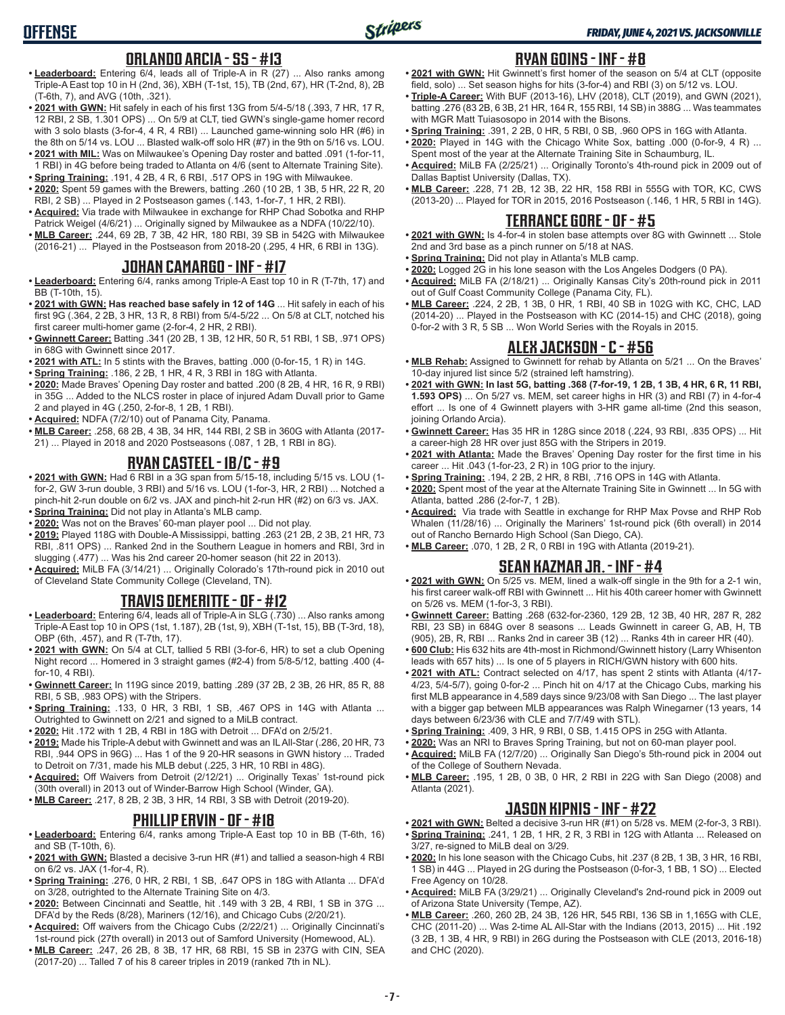# **OFFENSE**

#### **ORLANDO ARCIA - SS - #13**

- **• Leaderboard:** Entering 6/4, leads all of Triple-A in R (27) ... Also ranks among Triple-A East top 10 in H (2nd, 36), XBH (T-1st, 15), TB (2nd, 67), HR (T-2nd, 8), 2B (T-6th, 7), and AVG (10th, .321).
- **• 2021 with GWN:** Hit safely in each of his first 13G from 5/4-5/18 (.393, 7 HR, 17 R, 12 RBI, 2 SB, 1.301 OPS) ... On 5/9 at CLT, tied GWN's single-game homer record with 3 solo blasts (3-for-4, 4 R, 4 RBI) ... Launched game-winning solo HR (#6) in the 8th on 5/14 vs. LOU ... Blasted walk-off solo HR (#7) in the 9th on 5/16 vs. LOU.
- **• 2021 with MIL:** Was on Milwaukee's Opening Day roster and batted .091 (1-for-11, 1 RBI) in 4G before being traded to Atlanta on 4/6 (sent to Alternate Training Site).
- **• Spring Training:** .191, 4 2B, 4 R, 6 RBI, .517 OPS in 19G with Milwaukee. **• 2020:** Spent 59 games with the Brewers, batting .260 (10 2B, 1 3B, 5 HR, 22 R, 20 RBI, 2 SB) ... Played in 2 Postseason games (.143, 1-for-7, 1 HR, 2 RBI).
- **• Acquired:** Via trade with Milwaukee in exchange for RHP Chad Sobotka and RHP Patrick Weigel (4/6/21) ... Originally signed by Milwaukee as a NDFA (10/22/10).
- **• MLB Career:** .244, 69 2B, 7 3B, 42 HR, 180 RBI, 39 SB in 542G with Milwaukee (2016-21) ... Played in the Postseason from 2018-20 (.295, 4 HR, 6 RBI in 13G).

### **JOHAN CAMARGO - INF - #17**

- **• Leaderboard:** Entering 6/4, ranks among Triple-A East top 10 in R (T-7th, 17) and BB (T-10th, 15).
- **• 2021 with GWN: Has reached base safely in 12 of 14G** ... Hit safely in each of his first 9G (.364, 2 2B, 3 HR, 13 R, 8 RBI) from 5/4-5/22 ... On 5/8 at CLT, notched his first career multi-homer game (2-for-4, 2 HR, 2 RBI).
- **• Gwinnett Career:** Batting .341 (20 2B, 1 3B, 12 HR, 50 R, 51 RBI, 1 SB, .971 OPS) in 68G with Gwinnett since 2017.
- **• 2021 with ATL:** In 5 stints with the Braves, batting .000 (0-for-15, 1 R) in 14G.
- **• Spring Training:** .186, 2 2B, 1 HR, 4 R, 3 RBI in 18G with Atlanta.
- **• 2020:** Made Braves' Opening Day roster and batted .200 (8 2B, 4 HR, 16 R, 9 RBI) in 35G ... Added to the NLCS roster in place of injured Adam Duvall prior to Game 2 and played in 4G (.250, 2-for-8, 1 2B, 1 RBI).
- **• Acquired:** NDFA (7/2/10) out of Panama City, Panama.
- **• MLB Career:** .258, 68 2B, 4 3B, 34 HR, 144 RBI, 2 SB in 360G with Atlanta (2017- 21) ... Played in 2018 and 2020 Postseasons (.087, 1 2B, 1 RBI in 8G).

#### **RYAN CASTEEL - 1B/C - #9**

- **• 2021 with GWN:** Had 6 RBI in a 3G span from 5/15-18, including 5/15 vs. LOU (1 for-2, GW 3-run double, 3 RBI) and 5/16 vs. LOU (1-for-3, HR, 2 RBI) ... Notched a pinch-hit 2-run double on 6/2 vs. JAX and pinch-hit 2-run HR (#2) on 6/3 vs. JAX.
- **• Spring Training:** Did not play in Atlanta's MLB camp.
- **• 2020:** Was not on the Braves' 60-man player pool ... Did not play.
- **• 2019:** Played 118G with Double-A Mississippi, batting .263 (21 2B, 2 3B, 21 HR, 73 RBI, .811 OPS) ... Ranked 2nd in the Southern League in homers and RBI, 3rd in slugging (.477) ... Was his 2nd career 20-homer season (hit 22 in 2013).
- **• Acquired:** MiLB FA (3/14/21) ... Originally Colorado's 17th-round pick in 2010 out of Cleveland State Community College (Cleveland, TN).

### **TRAVIS DEMERITTE - OF - #12**

- **• Leaderboard:** Entering 6/4, leads all of Triple-A in SLG (.730) ... Also ranks among Triple-A East top 10 in OPS (1st, 1.187), 2B (1st, 9), XBH (T-1st, 15), BB (T-3rd, 18), OBP (6th, .457), and R (T-7th, 17).
- **• 2021 with GWN:** On 5/4 at CLT, tallied 5 RBI (3-for-6, HR) to set a club Opening Night record ... Homered in 3 straight games (#2-4) from 5/8-5/12, batting .400 (4 for-10, 4 RBI).
- **• Gwinnett Career:** In 119G since 2019, batting .289 (37 2B, 2 3B, 26 HR, 85 R, 88 RBI, 5 SB, .983 OPS) with the Stripers.
- **• Spring Training:** .133, 0 HR, 3 RBI, 1 SB, .467 OPS in 14G with Atlanta ... Outrighted to Gwinnett on 2/21 and signed to a MiLB contract.
- **• 2020:** Hit .172 with 1 2B, 4 RBI in 18G with Detroit ... DFA'd on 2/5/21.
- **• 2019:** Made his Triple-A debut with Gwinnett and was an IL All-Star (.286, 20 HR, 73 RBI, .944 OPS in 96G) ... Has 1 of the 9 20-HR seasons in GWN history ... Traded to Detroit on 7/31, made his MLB debut (.225, 3 HR, 10 RBI in 48G).
- **• Acquired:** Off Waivers from Detroit (2/12/21) ... Originally Texas' 1st-round pick (30th overall) in 2013 out of Winder-Barrow High School (Winder, GA).
- **• MLB Career:** .217, 8 2B, 2 3B, 3 HR, 14 RBI, 3 SB with Detroit (2019-20).

#### **PHILLIP ERVIN - OF - #18**

- **• Leaderboard:** Entering 6/4, ranks among Triple-A East top 10 in BB (T-6th, 16) and SB (T-10th, 6).
- **• 2021 with GWN:** Blasted a decisive 3-run HR (#1) and tallied a season-high 4 RBI on 6/2 vs. JAX (1-for-4, R).
- **• Spring Training:** .276, 0 HR, 2 RBI, 1 SB, .647 OPS in 18G with Atlanta ... DFA'd on 3/28, outrighted to the Alternate Training Site on 4/3.
- **• 2020:** Between Cincinnati and Seattle, hit .149 with 3 2B, 4 RBI, 1 SB in 37G ... DFA'd by the Reds (8/28), Mariners (12/16), and Chicago Cubs (2/20/21).
- **• Acquired:** Off waivers from the Chicago Cubs (2/22/21) ... Originally Cincinnati's 1st-round pick (27th overall) in 2013 out of Samford University (Homewood, AL).
- **• MLB Career:** .247, 26 2B, 8 3B, 17 HR, 68 RBI, 15 SB in 237G with CIN, SEA (2017-20) ... Talled 7 of his 8 career triples in 2019 (ranked 7th in NL).

#### **RYAN GOINS - INF - #8**

- **• 2021 with GWN:** Hit Gwinnett's first homer of the season on 5/4 at CLT (opposite field, solo) ... Set season highs for hits (3-for-4) and RBI (3) on 5/12 vs. LOU.
- **• Triple-A Career:** With BUF (2013-16), LHV (2018), CLT (2019), and GWN (2021), batting .276 (83 2B, 6 3B, 21 HR, 164 R, 155 RBI, 14 SB) in 388G ... Was teammates with MGR Matt Tuiasosopo in 2014 with the Bisons.
- **• Spring Training:** .391, 2 2B, 0 HR, 5 RBI, 0 SB, .960 OPS in 16G with Atlanta.
- **• 2020:** Played in 14G with the Chicago White Sox, batting .000 (0-for-9, 4 R) ... Spent most of the year at the Alternate Training Site in Schaumburg, IL.
- **• Acquired:** MiLB FA (2/25/21) ... Originally Toronto's 4th-round pick in 2009 out of Dallas Baptist University (Dallas, TX).
- **• MLB Career:** .228, 71 2B, 12 3B, 22 HR, 158 RBI in 555G with TOR, KC, CWS (2013-20) ... Played for TOR in 2015, 2016 Postseason (.146, 1 HR, 5 RBI in 14G).

#### **TERRANCE GORE - OF - #5**

- **• 2021 with GWN:** Is 4-for-4 in stolen base attempts over 8G with Gwinnett ... Stole 2nd and 3rd base as a pinch runner on 5/18 at NAS.
- **• Spring Training:** Did not play in Atlanta's MLB camp.
- **• 2020:** Logged 2G in his lone season with the Los Angeles Dodgers (0 PA).
- **• Acquired:** MiLB FA (2/18/21) ... Originally Kansas City's 20th-round pick in 2011 out of Gulf Coast Community College (Panama City, FL).
- **• MLB Career:** .224, 2 2B, 1 3B, 0 HR, 1 RBI, 40 SB in 102G with KC, CHC, LAD (2014-20) ... Played in the Postseason with KC (2014-15) and CHC (2018), going 0-for-2 with 3 R, 5 SB ... Won World Series with the Royals in 2015.

### **ALEX JACKSON - C - #56**

- **• MLB Rehab:** Assigned to Gwinnett for rehab by Atlanta on 5/21 ... On the Braves' 10-day injured list since 5/2 (strained left hamstring).
- **• 2021 with GWN: In last 5G, batting .368 (7-for-19, 1 2B, 1 3B, 4 HR, 6 R, 11 RBI, 1.593 OPS)** ... On 5/27 vs. MEM, set career highs in HR (3) and RBI (7) in 4-for-4 effort ... Is one of 4 Gwinnett players with 3-HR game all-time (2nd this season, joining Orlando Arcia).
- **• Gwinnett Career:** Has 35 HR in 128G since 2018 (.224, 93 RBI, .835 OPS) ... Hit a career-high 28 HR over just 85G with the Stripers in 2019.
- **• 2021 with Atlanta:** Made the Braves' Opening Day roster for the first time in his career ... Hit .043 (1-for-23, 2 R) in 10G prior to the injury.
- **• Spring Training:** .194, 2 2B, 2 HR, 8 RBI, .716 OPS in 14G with Atlanta.
- **• 2020:** Spent most of the year at the Alternate Training Site in Gwinnett ... In 5G with Atlanta, batted .286 (2-for-7, 1 2B).
- **• Acquired:** Via trade with Seattle in exchange for RHP Max Povse and RHP Rob Whalen (11/28/16) ... Originally the Mariners' 1st-round pick (6th overall) in 2014 out of Rancho Bernardo High School (San Diego, CA).
- **• MLB Career:** .070, 1 2B, 2 R, 0 RBI in 19G with Atlanta (2019-21).

#### **SEAN KAZMAR JR. - INF - #4**

- **• 2021 with GWN:** On 5/25 vs. MEM, lined a walk-off single in the 9th for a 2-1 win, his first career walk-off RBI with Gwinnett ... Hit his 40th career homer with Gwinnett on 5/26 vs. MEM (1-for-3, 3 RBI).
- **• Gwinnett Career:** Batting .268 (632-for-2360, 129 2B, 12 3B, 40 HR, 287 R, 282 RBI, 23 SB) in 684G over 8 seasons ... Leads Gwinnett in career G, AB, H, TB (905), 2B, R, RBI ... Ranks 2nd in career 3B (12) ... Ranks 4th in career HR (40).
- **• 600 Club:** His 632 hits are 4th-most in Richmond/Gwinnett history (Larry Whisenton leads with 657 hits) ... Is one of 5 players in RICH/GWN history with 600 hits.
- **• 2021 with ATL:** Contract selected on 4/17, has spent 2 stints with Atlanta (4/17- 4/23, 5/4-5/7), going 0-for-2 ... Pinch hit on 4/17 at the Chicago Cubs, marking his first MLB appearance in 4,589 days since 9/23/08 with San Diego ... The last player with a bigger gap between MLB appearances was Ralph Winegarner (13 years, 14 days between 6/23/36 with CLE and 7/7/49 with STL).
- **• Spring Training:** .409, 3 HR, 9 RBI, 0 SB, 1.415 OPS in 25G with Atlanta.
- **• 2020:** Was an NRI to Braves Spring Training, but not on 60-man player pool.
- **• Acquired:** MiLB FA (12/7/20) ... Originally San Diego's 5th-round pick in 2004 out of the College of Southern Nevada.
- **• MLB Career:** .195, 1 2B, 0 3B, 0 HR, 2 RBI in 22G with San Diego (2008) and Atlanta (2021).

### **JASON KIPNIS - INF - #22**

- **• 2021 with GWN:** Belted a decisive 3-run HR (#1) on 5/28 vs. MEM (2-for-3, 3 RBI). **• Spring Training:** .241, 1 2B, 1 HR, 2 R, 3 RBI in 12G with Atlanta ... Released on
- 3/27, re-signed to MiLB deal on 3/29.
- **• 2020:** In his lone season with the Chicago Cubs, hit .237 (8 2B, 1 3B, 3 HR, 16 RBI, 1 SB) in 44G ... Played in 2G during the Postseason (0-for-3, 1 BB, 1 SO) ... Elected Free Agency on 10/28.
- **• Acquired:** MiLB FA (3/29/21) ... Originally Cleveland's 2nd-round pick in 2009 out of Arizona State University (Tempe, AZ).
- **• MLB Career:** .260, 260 2B, 24 3B, 126 HR, 545 RBI, 136 SB in 1,165G with CLE, CHC (2011-20) ... Was 2-time AL All-Star with the Indians (2013, 2015) ... Hit .192 (3 2B, 1 3B, 4 HR, 9 RBI) in 26G during the Postseason with CLE (2013, 2016-18) and CHC (2020).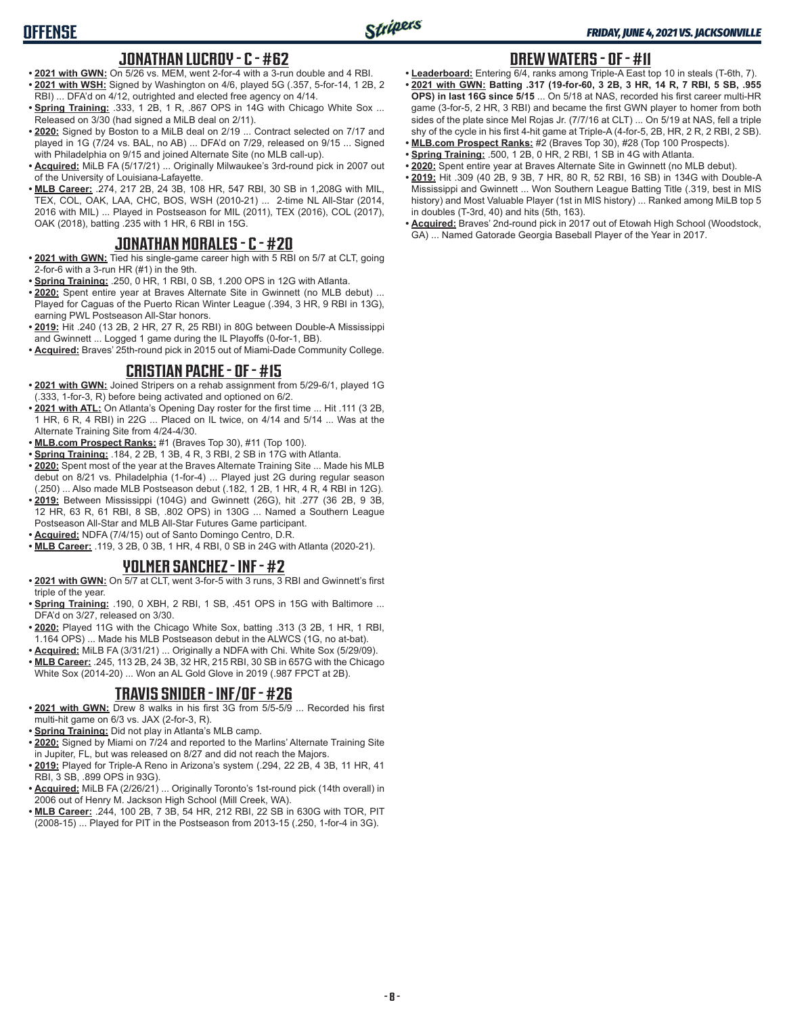### **JONATHAN LUCROY - C - #62**

- **• 2021 with GWN:** On 5/26 vs. MEM, went 2-for-4 with a 3-run double and 4 RBI. **• 2021 with WSH:** Signed by Washington on 4/6, played 5G (.357, 5-for-14, 1 2B, 2 RBI) ... DFA'd on 4/12, outrighted and elected free agency on 4/14.
- **Spring Training: .333, 1 2B, 1 R, .867 OPS in 14G with Chicago White Sox ...** Released on 3/30 (had signed a MiLB deal on 2/11).
- **• 2020:** Signed by Boston to a MiLB deal on 2/19 ... Contract selected on 7/17 and played in 1G (7/24 vs. BAL, no AB) ... DFA'd on 7/29, released on 9/15 ... Signed with Philadelphia on 9/15 and joined Alternate Site (no MLB call-up).
- **• Acquired:** MiLB FA (5/17/21) ... Originally Milwaukee's 3rd-round pick in 2007 out of the University of Louisiana-Lafayette.
- **• MLB Career:** .274, 217 2B, 24 3B, 108 HR, 547 RBI, 30 SB in 1,208G with MIL, TEX, COL, OAK, LAA, CHC, BOS, WSH (2010-21) ... 2-time NL All-Star (2014, 2016 with MIL) ... Played in Postseason for MIL (2011), TEX (2016), COL (2017), OAK (2018), batting .235 with 1 HR, 6 RBI in 15G.

# **JONATHAN MORALES - C - #20**

- **• 2021 with GWN:** Tied his single-game career high with 5 RBI on 5/7 at CLT, going 2-for-6 with a 3-run HR (#1) in the 9th.
- **• Spring Training:** .250, 0 HR, 1 RBI, 0 SB, 1.200 OPS in 12G with Atlanta.
- **• 2020:** Spent entire year at Braves Alternate Site in Gwinnett (no MLB debut) ... Played for Caguas of the Puerto Rican Winter League (.394, 3 HR, 9 RBI in 13G), earning PWL Postseason All-Star honors.
- **• 2019:** Hit .240 (13 2B, 2 HR, 27 R, 25 RBI) in 80G between Double-A Mississippi and Gwinnett ... Logged 1 game during the IL Playoffs (0-for-1, BB).
- **• Acquired:** Braves' 25th-round pick in 2015 out of Miami-Dade Community College.

## **CRISTIAN PACHE - OF - #15**

- **• 2021 with GWN:** Joined Stripers on a rehab assignment from 5/29-6/1, played 1G (.333, 1-for-3, R) before being activated and optioned on 6/2.
- **• 2021 with ATL:** On Atlanta's Opening Day roster for the first time ... Hit .111 (3 2B, 1 HR, 6 R, 4 RBI) in 22G ... Placed on IL twice, on 4/14 and 5/14 ... Was at the Alternate Training Site from 4/24-4/30.
- **• MLB.com Prospect Ranks:** #1 (Braves Top 30), #11 (Top 100).
- **• Spring Training:** .184, 2 2B, 1 3B, 4 R, 3 RBI, 2 SB in 17G with Atlanta.
- **• 2020:** Spent most of the year at the Braves Alternate Training Site ... Made his MLB debut on 8/21 vs. Philadelphia (1-for-4) ... Played just 2G during regular season (.250) ... Also made MLB Postseason debut (.182, 1 2B, 1 HR, 4 R, 4 RBI in 12G).
- **• 2019:** Between Mississippi (104G) and Gwinnett (26G), hit .277 (36 2B, 9 3B, 12 HR, 63 R, 61 RBI, 8 SB, .802 OPS) in 130G ... Named a Southern League
- Postseason All-Star and MLB All-Star Futures Game participant.
- **• Acquired:** NDFA (7/4/15) out of Santo Domingo Centro, D.R. **• MLB Career:** .119, 3 2B, 0 3B, 1 HR, 4 RBI, 0 SB in 24G with Atlanta (2020-21).

### **YOLMER SANCHEZ - INF - #2**

- **• 2021 with GWN:** On 5/7 at CLT, went 3-for-5 with 3 runs, 3 RBI and Gwinnett's first triple of the year.
- **• Spring Training:** .190, 0 XBH, 2 RBI, 1 SB, .451 OPS in 15G with Baltimore ... DFA'd on 3/27, released on 3/30.
- **• 2020:** Played 11G with the Chicago White Sox, batting .313 (3 2B, 1 HR, 1 RBI, 1.164 OPS) ... Made his MLB Postseason debut in the ALWCS (1G, no at-bat).
- **• Acquired:** MiLB FA (3/31/21) ... Originally a NDFA with Chi. White Sox (5/29/09).
- **• MLB Career:** .245, 113 2B, 24 3B, 32 HR, 215 RBI, 30 SB in 657G with the Chicago White Sox (2014-20) ... Won an AL Gold Glove in 2019 (.987 FPCT at 2B).

## **TRAVIS SNIDER - INF/OF - #26**

- **• 2021 with GWN:** Drew 8 walks in his first 3G from 5/5-5/9 ... Recorded his first multi-hit game on 6/3 vs. JAX (2-for-3, R).
- **• Spring Training:** Did not play in Atlanta's MLB camp.
- **• 2020:** Signed by Miami on 7/24 and reported to the Marlins' Alternate Training Site in Jupiter, FL, but was released on 8/27 and did not reach the Majors.
- **• 2019:** Played for Triple-A Reno in Arizona's system (.294, 22 2B, 4 3B, 11 HR, 41 RBI, 3 SB, .899 OPS in 93G).
- **• Acquired:** MiLB FA (2/26/21) ... Originally Toronto's 1st-round pick (14th overall) in 2006 out of Henry M. Jackson High School (Mill Creek, WA).
- **• MLB Career:** .244, 100 2B, 7 3B, 54 HR, 212 RBI, 22 SB in 630G with TOR, PIT (2008-15) ... Played for PIT in the Postseason from 2013-15 (.250, 1-for-4 in 3G).

# **DREW WATERS - OF - #11**

- **• Leaderboard:** Entering 6/4, ranks among Triple-A East top 10 in steals (T-6th, 7). **• 2021 with GWN: Batting .317 (19-for-60, 3 2B, 3 HR, 14 R, 7 RBI, 5 SB, .955 OPS) in last 16G since 5/15** ... On 5/18 at NAS, recorded his first career multi-HR game (3-for-5, 2 HR, 3 RBI) and became the first GWN player to homer from both sides of the plate since Mel Rojas Jr. (7/7/16 at CLT) ... On 5/19 at NAS, fell a triple shy of the cycle in his first 4-hit game at Triple-A (4-for-5, 2B, HR, 2 R, 2 RBI, 2 SB).
- **• MLB.com Prospect Ranks:** #2 (Braves Top 30), #28 (Top 100 Prospects). **• Spring Training:** .500, 1 2B, 0 HR, 2 RBI, 1 SB in 4G with Atlanta.
- **• 2020:** Spent entire year at Braves Alternate Site in Gwinnett (no MLB debut).
- **• 2019:** Hit .309 (40 2B, 9 3B, 7 HR, 80 R, 52 RBI, 16 SB) in 134G with Double-A Mississippi and Gwinnett ... Won Southern League Batting Title (.319, best in MIS history) and Most Valuable Player (1st in MIS history) ... Ranked among MiLB top 5 in doubles (T-3rd, 40) and hits (5th, 163).
- **• Acquired:** Braves' 2nd-round pick in 2017 out of Etowah High School (Woodstock, GA) ... Named Gatorade Georgia Baseball Player of the Year in 2017.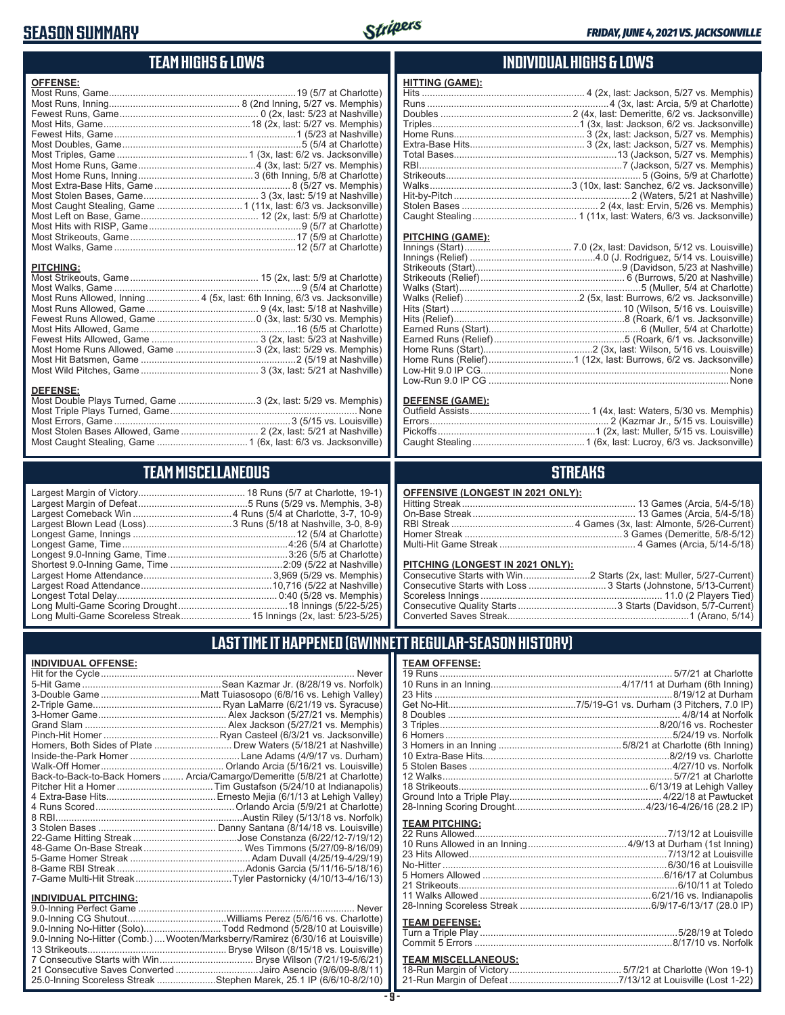## **SEASON SUMMARY**



**HITTING (GAME):**

### **TEAM HIGHS & LOWS**

| <b>OFFENSE:</b>  |                                                                          |
|------------------|--------------------------------------------------------------------------|
|                  |                                                                          |
|                  |                                                                          |
|                  |                                                                          |
| <b>PITCHING:</b> |                                                                          |
|                  | Most Runs Allowed, Inning 4 (5x, last: 6th Inning, 6/3 vs. Jacksonville) |
|                  |                                                                          |
|                  |                                                                          |

Most Home Runs Allowed, Game .............................3 (2x, last: 5/29 vs. Memphis) Most Hit Batsmen, Game 2 (5/19 at Nashville) Most Wild Pitches, Game 3 (3x, last: 5/21 at Nashville)

Most Double Plays Turned, Game ..............................3 (2x, last: 5/29 vs. Memphis) Most Triple Plays Turned, Game None Most Errors, Game 3 (5/15 vs. Louisville) Most Stolen Bases Allowed, Game .............................. 2 (2x, last: 5/21 at Nashville) Most Caught Stealing, Game 1 (6x, last: 6/3 vs. Jacksonville)

**TEAM MISCELLANEOUS** Largest Margin of Victory 18 Runs (5/7 at Charlotte, 19-1) Largest Margin of Defeat 5 Runs (5/29 vs. Memphis, 3-8) Largest Comeback Win .....................................4 Runs (5/4 at Charlotte, 3-7, 10-9) Largest Blown Lead (Loss)................................. 3 Runs (5/18 at Nashville, 3-0, 8-9) Longest Game, Innings 12 (5/4 at Charlotte) Longest Game, Time 4:26 (5/4 at Charlotte) Longest 9.0-Inning Game, Time 3:26 (5/5 at Charlotte) Shortest 9.0-Inning Game, Time 2:09 (5/22 at Nashville) Largest Home Attendance 3,969 (5/29 vs. Memphis) Largest Road Attendance 10,716 (5/22 at Nashville) Longest Total Delay 0:40 (5/28 vs. Memphis) Long Multi-Game Scoring Drought……………………………………18 Innings (5/22-5/25) Long Multi-Game Scoreless Streak.......................... 15 Innings (2x, last: 5/23-5/25)

#### **INDIVIDUAL HIGHS & LOWS**

| PITCHING (GAME):    |                              |
|---------------------|------------------------------|
|                     |                              |
|                     |                              |
|                     |                              |
|                     |                              |
|                     |                              |
|                     |                              |
|                     |                              |
|                     |                              |
| Farned Runs (Start) | 6 (Muller, 5/4 at Charlotte) |

#### **DEFENSE (GAME):**

#### **STREAKS**

#### **OFFENSIVE (LONGEST IN 2021 ONLY):**

#### **PITCHING (LONGEST IN 2021 ONLY):**

### **LAST TIME IT HAPPENED (GWINNETT REGULAR-SEASON HISTORY)**

#### **INDIVIDUAL OFFENSE:**

**DEFENSE:**

|                             | Homers, Both Sides of Plate  Drew Waters (5/18/21 at Nashville)            |
|-----------------------------|----------------------------------------------------------------------------|
|                             |                                                                            |
|                             |                                                                            |
|                             | Back-to-Back-to-Back Homers  Arcia/Camargo/Demeritte (5/8/21 at Charlotte) |
|                             |                                                                            |
|                             |                                                                            |
|                             |                                                                            |
|                             |                                                                            |
|                             |                                                                            |
|                             |                                                                            |
|                             |                                                                            |
|                             |                                                                            |
|                             |                                                                            |
|                             |                                                                            |
| <b>INDIVIDUAL PITCHING:</b> |                                                                            |
|                             | Never                                                                      |
|                             |                                                                            |

| 9.0-Inning No-Hitter (Solo)Todd Redmond (5/28/10 at Louisville)                 |  |
|---------------------------------------------------------------------------------|--|
| 9.0-Inning No-Hitter (Comb.)  Wooten/Marksberry/Ramirez (6/30/16 at Louisville) |  |
|                                                                                 |  |
|                                                                                 |  |
| 21 Consecutive Saves Converted Jairo Asencio (9/6/09-8/8/11)                    |  |
| 25.0-Inning Scoreless Streak Stephen Marek, 25.1 IP (6/6/10-8/2/10)             |  |

| <b>TEAM OFFENSE:</b>       |  |
|----------------------------|--|
|                            |  |
|                            |  |
|                            |  |
|                            |  |
|                            |  |
|                            |  |
|                            |  |
|                            |  |
|                            |  |
|                            |  |
|                            |  |
|                            |  |
|                            |  |
|                            |  |
|                            |  |
| <b>TEAM PITCHING:</b>      |  |
|                            |  |
|                            |  |
|                            |  |
|                            |  |
|                            |  |
|                            |  |
|                            |  |
|                            |  |
| <b>TEAM DEFENSE:</b>       |  |
|                            |  |
|                            |  |
|                            |  |
| <b>TEAM MISCELLANEOUS:</b> |  |

#### **TEAM MISCELLANEOUS:** 18-Run Margin of Victory 5/7/21 at Charlotte (Won 19-1) 21-Run Margin of Defeat 7/13/12 at Louisville (Lost 1-22)